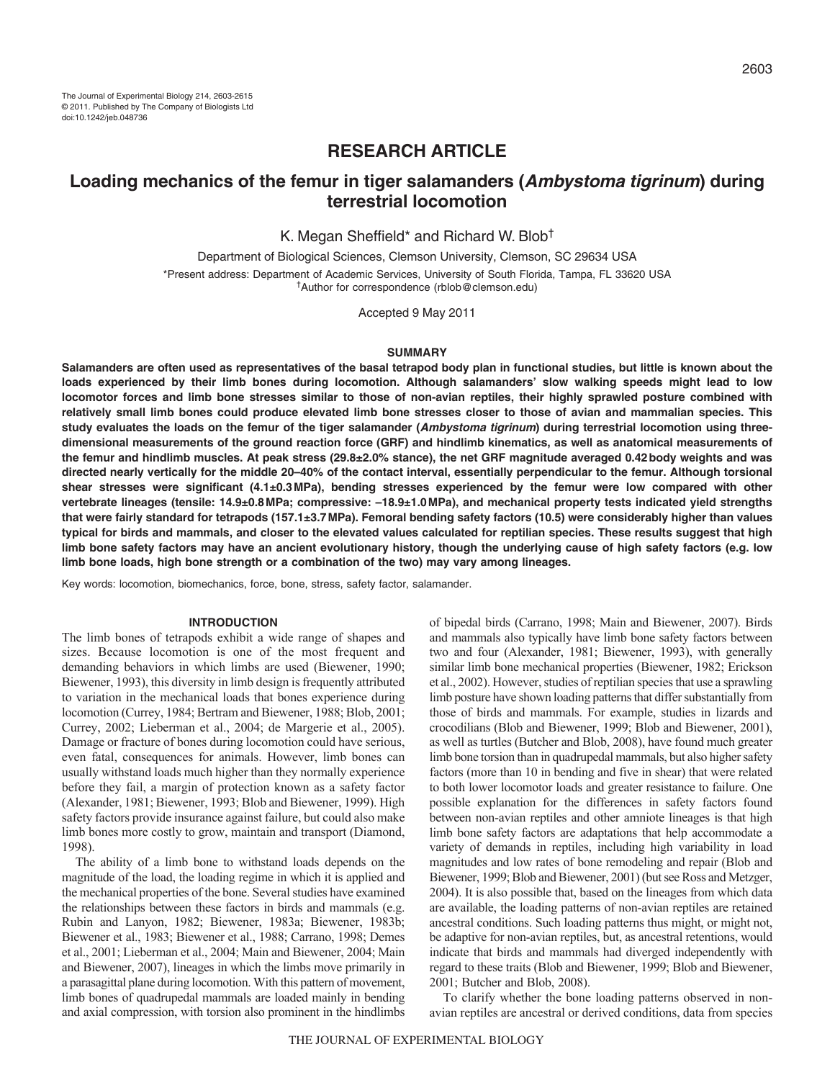The Journal of Experimental Biology 214, 2603-2615 © 2011. Published by The Company of Biologists Ltd doi:10.1242/jeb.048736

# **RESEARCH ARTICLE**

# **Loading mechanics of the femur in tiger salamanders (Ambystoma tigrinum) during terrestrial locomotion**

K. Megan Sheffield\* and Richard W. Blob†

Department of Biological Sciences, Clemson University, Clemson, SC 29634 USA \*Present address: Department of Academic Services, University of South Florida, Tampa, FL 33620 USA †Author for correspondence (rblob@clemson.edu)

Accepted 9 May 2011

### **SUMMARY**

**Salamanders are often used as representatives of the basal tetrapod body plan in functional studies, but little is known about the loads experienced by their limb bones during locomotion. Although salamanders' slow walking speeds might lead to low locomotor forces and limb bone stresses similar to those of non-avian reptiles, their highly sprawled posture combined with relatively small limb bones could produce elevated limb bone stresses closer to those of avian and mammalian species. This study evaluates the loads on the femur of the tiger salamander (Ambystoma tigrinum) during terrestrial locomotion using threedimensional measurements of the ground reaction force (GRF) and hindlimb kinematics, as well as anatomical measurements of the femur and hindlimb muscles. At peak stress (29.8±2.0% stance), the net GRF magnitude averaged 0.42body weights and was directed nearly vertically for the middle 20–40% of the contact interval, essentially perpendicular to the femur. Although torsional shear stresses were significant (4.1±0.3MPa), bending stresses experienced by the femur were low compared with other vertebrate lineages (tensile: 14.9±0.8MPa; compressive: –18.9±1.0MPa), and mechanical property tests indicated yield strengths that were fairly standard for tetrapods (157.1±3.7MPa). Femoral bending safety factors (10.5) were considerably higher than values typical for birds and mammals, and closer to the elevated values calculated for reptilian species. These results suggest that high limb bone safety factors may have an ancient evolutionary history, though the underlying cause of high safety factors (e.g. low limb bone loads, high bone strength or a combination of the two) may vary among lineages.**

Key words: locomotion, biomechanics, force, bone, stress, safety factor, salamander.

#### **INTRODUCTION**

The limb bones of tetrapods exhibit a wide range of shapes and sizes. Because locomotion is one of the most frequent and demanding behaviors in which limbs are used (Biewener, 1990; Biewener, 1993), this diversity in limb design is frequently attributed to variation in the mechanical loads that bones experience during locomotion (Currey, 1984; Bertram and Biewener, 1988; Blob, 2001; Currey, 2002; Lieberman et al., 2004; de Margerie et al., 2005). Damage or fracture of bones during locomotion could have serious, even fatal, consequences for animals. However, limb bones can usually withstand loads much higher than they normally experience before they fail, a margin of protection known as a safety factor (Alexander, 1981; Biewener, 1993; Blob and Biewener, 1999). High safety factors provide insurance against failure, but could also make limb bones more costly to grow, maintain and transport (Diamond, 1998).

The ability of a limb bone to withstand loads depends on the magnitude of the load, the loading regime in which it is applied and the mechanical properties of the bone. Several studies have examined the relationships between these factors in birds and mammals (e.g. Rubin and Lanyon, 1982; Biewener, 1983a; Biewener, 1983b; Biewener et al., 1983; Biewener et al., 1988; Carrano, 1998; Demes et al., 2001; Lieberman et al., 2004; Main and Biewener, 2004; Main and Biewener, 2007), lineages in which the limbs move primarily in a parasagittal plane during locomotion. With this pattern of movement, limb bones of quadrupedal mammals are loaded mainly in bending and axial compression, with torsion also prominent in the hindlimbs of bipedal birds (Carrano, 1998; Main and Biewener, 2007). Birds and mammals also typically have limb bone safety factors between two and four (Alexander, 1981; Biewener, 1993), with generally similar limb bone mechanical properties (Biewener, 1982; Erickson et al., 2002). However, studies of reptilian species that use a sprawling limb posture have shown loading patterns that differ substantially from those of birds and mammals. For example, studies in lizards and crocodilians (Blob and Biewener, 1999; Blob and Biewener, 2001), as well as turtles (Butcher and Blob, 2008), have found much greater limb bone torsion than in quadrupedal mammals, but also higher safety factors (more than 10 in bending and five in shear) that were related to both lower locomotor loads and greater resistance to failure. One possible explanation for the differences in safety factors found between non-avian reptiles and other amniote lineages is that high limb bone safety factors are adaptations that help accommodate a variety of demands in reptiles, including high variability in load magnitudes and low rates of bone remodeling and repair (Blob and Biewener, 1999; Blob and Biewener, 2001) (but see Ross and Metzger, 2004). It is also possible that, based on the lineages from which data are available, the loading patterns of non-avian reptiles are retained ancestral conditions. Such loading patterns thus might, or might not, be adaptive for non-avian reptiles, but, as ancestral retentions, would indicate that birds and mammals had diverged independently with regard to these traits (Blob and Biewener, 1999; Blob and Biewener, 2001; Butcher and Blob, 2008).

To clarify whether the bone loading patterns observed in nonavian reptiles are ancestral or derived conditions, data from species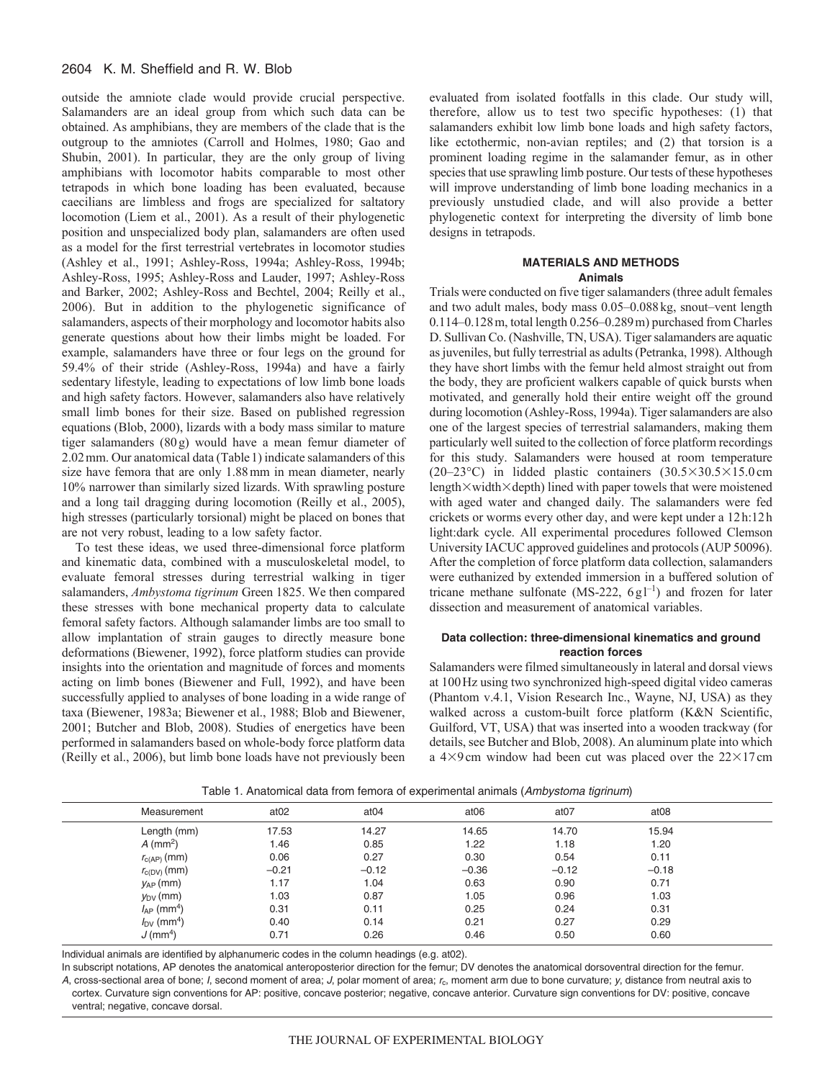outside the amniote clade would provide crucial perspective. Salamanders are an ideal group from which such data can be obtained. As amphibians, they are members of the clade that is the outgroup to the amniotes (Carroll and Holmes, 1980; Gao and Shubin, 2001). In particular, they are the only group of living amphibians with locomotor habits comparable to most other tetrapods in which bone loading has been evaluated, because caecilians are limbless and frogs are specialized for saltatory locomotion (Liem et al., 2001). As a result of their phylogenetic position and unspecialized body plan, salamanders are often used as a model for the first terrestrial vertebrates in locomotor studies (Ashley et al., 1991; Ashley-Ross, 1994a; Ashley-Ross, 1994b; Ashley-Ross, 1995; Ashley-Ross and Lauder, 1997; Ashley-Ross and Barker, 2002; Ashley-Ross and Bechtel, 2004; Reilly et al., 2006). But in addition to the phylogenetic significance of salamanders, aspects of their morphology and locomotor habits also generate questions about how their limbs might be loaded. For example, salamanders have three or four legs on the ground for 59.4% of their stride (Ashley-Ross, 1994a) and have a fairly sedentary lifestyle, leading to expectations of low limb bone loads and high safety factors. However, salamanders also have relatively small limb bones for their size. Based on published regression equations (Blob, 2000), lizards with a body mass similar to mature tiger salamanders (80g) would have a mean femur diameter of 2.02mm. Our anatomical data (Table1) indicate salamanders of this size have femora that are only 1.88mm in mean diameter, nearly 10% narrower than similarly sized lizards. With sprawling posture and a long tail dragging during locomotion (Reilly et al., 2005), high stresses (particularly torsional) might be placed on bones that are not very robust, leading to a low safety factor.

To test these ideas, we used three-dimensional force platform and kinematic data, combined with a musculoskeletal model, to evaluate femoral stresses during terrestrial walking in tiger salamanders, *Ambystoma tigrinum* Green 1825. We then compared these stresses with bone mechanical property data to calculate femoral safety factors. Although salamander limbs are too small to allow implantation of strain gauges to directly measure bone deformations (Biewener, 1992), force platform studies can provide insights into the orientation and magnitude of forces and moments acting on limb bones (Biewener and Full, 1992), and have been successfully applied to analyses of bone loading in a wide range of taxa (Biewener, 1983a; Biewener et al., 1988; Blob and Biewener, 2001; Butcher and Blob, 2008). Studies of energetics have been performed in salamanders based on whole-body force platform data (Reilly et al., 2006), but limb bone loads have not previously been evaluated from isolated footfalls in this clade. Our study will, therefore, allow us to test two specific hypotheses: (1) that salamanders exhibit low limb bone loads and high safety factors, like ectothermic, non-avian reptiles; and (2) that torsion is a prominent loading regime in the salamander femur, as in other species that use sprawling limb posture. Our tests of these hypotheses will improve understanding of limb bone loading mechanics in a previously unstudied clade, and will also provide a better phylogenetic context for interpreting the diversity of limb bone designs in tetrapods.

## **MATERIALS AND METHODS Animals**

Trials were conducted on five tiger salamanders (three adult females and two adult males, body mass 0.05–0.088kg, snout–vent length 0.114–0.128m, total length 0.256–0.289m) purchased from Charles D. Sullivan Co. (Nashville, TN, USA). Tiger salamanders are aquatic as juveniles, but fully terrestrial as adults (Petranka, 1998). Although they have short limbs with the femur held almost straight out from the body, they are proficient walkers capable of quick bursts when motivated, and generally hold their entire weight off the ground during locomotion (Ashley-Ross, 1994a). Tiger salamanders are also one of the largest species of terrestrial salamanders, making them particularly well suited to the collection of force platform recordings for this study. Salamanders were housed at room temperature (20–23°C) in lidded plastic containers  $(30.5 \times 30.5 \times 15.0 \text{ cm})$ length×width×depth) lined with paper towels that were moistened with aged water and changed daily. The salamanders were fed crickets or worms every other day, and were kept under a 12h:12h light:dark cycle. All experimental procedures followed Clemson University IACUC approved guidelines and protocols (AUP 50096). After the completion of force platform data collection, salamanders were euthanized by extended immersion in a buffered solution of tricane methane sulfonate (MS-222,  $6gl^{-1}$ ) and frozen for later dissection and measurement of anatomical variables.

## **Data collection: three-dimensional kinematics and ground reaction forces**

Salamanders were filmed simultaneously in lateral and dorsal views at 100Hz using two synchronized high-speed digital video cameras (Phantom v.4.1, Vision Research Inc., Wayne, NJ, USA) as they walked across a custom-built force platform (K&N Scientific, Guilford, VT, USA) that was inserted into a wooden trackway (for details, see Butcher and Blob, 2008). An aluminum plate into which a  $4\times 9$  cm window had been cut was placed over the  $22\times 17$  cm

|  | at <sub>02</sub>                                                                                                                                                                                                                  | at <sub>04</sub> | at <sub>06</sub> | at <sub>07</sub> | at <sub>08</sub> |                                                                                            |  |  |  |
|--|-----------------------------------------------------------------------------------------------------------------------------------------------------------------------------------------------------------------------------------|------------------|------------------|------------------|------------------|--------------------------------------------------------------------------------------------|--|--|--|
|  | 17.53                                                                                                                                                                                                                             | 14.27            | 14.65            | 14.70            | 15.94            |                                                                                            |  |  |  |
|  | 1.46                                                                                                                                                                                                                              | 0.85             | 1.22             | 1.18             | 1.20             |                                                                                            |  |  |  |
|  | 0.06                                                                                                                                                                                                                              | 0.27             | 0.30             | 0.54             | 0.11             |                                                                                            |  |  |  |
|  | $-0.21$                                                                                                                                                                                                                           | $-0.12$          | $-0.36$          | $-0.12$          | $-0.18$          |                                                                                            |  |  |  |
|  | 1.17                                                                                                                                                                                                                              | 1.04             | 0.63             | 0.90             | 0.71             |                                                                                            |  |  |  |
|  | 1.03                                                                                                                                                                                                                              | 0.87             | 1.05             | 0.96             | 1.03             |                                                                                            |  |  |  |
|  | 0.31                                                                                                                                                                                                                              | 0.11             | 0.25             | 0.24             | 0.31             |                                                                                            |  |  |  |
|  | 0.40                                                                                                                                                                                                                              | 0.14             | 0.21             | 0.27             | 0.29             |                                                                                            |  |  |  |
|  | 0.71                                                                                                                                                                                                                              | 0.26             | 0.46             | 0.50             | 0.60             |                                                                                            |  |  |  |
|  | Measurement<br>Length (mm)<br>$A$ (mm <sup>2</sup> )<br>$r_{C(AP)}$ (mm)<br>$r_{c(DV)}$ (mm)<br>$V_{AP}$ (mm)<br>$y_{\rm DV}$ (mm)<br>$I_{AP}$ (mm <sup>4</sup> )<br>$I_{\text{DV}}$ (mm <sup>4</sup> )<br>$J$ (mm <sup>4</sup> ) |                  |                  |                  |                  | <u>Fabio T. Anatomioal data fiom fornota of oxportinontal animalo participata agentant</u> |  |  |  |

Table 1. Anatomical data from femora of experimental animals (Ambystoma tigrinum)

Individual animals are identified by alphanumeric codes in the column headings (e.g. at02).

In subscript notations, AP denotes the anatomical anteroposterior direction for the femur; DV denotes the anatomical dorsoventral direction for the femur. A, cross-sectional area of bone; I, second moment of area; J, polar moment of area;  $r_c$ , moment arm due to bone curvature; y, distance from neutral axis to cortex. Curvature sign conventions for AP: positive, concave posterior; negative, concave anterior. Curvature sign conventions for DV: positive, concave ventral; negative, concave dorsal.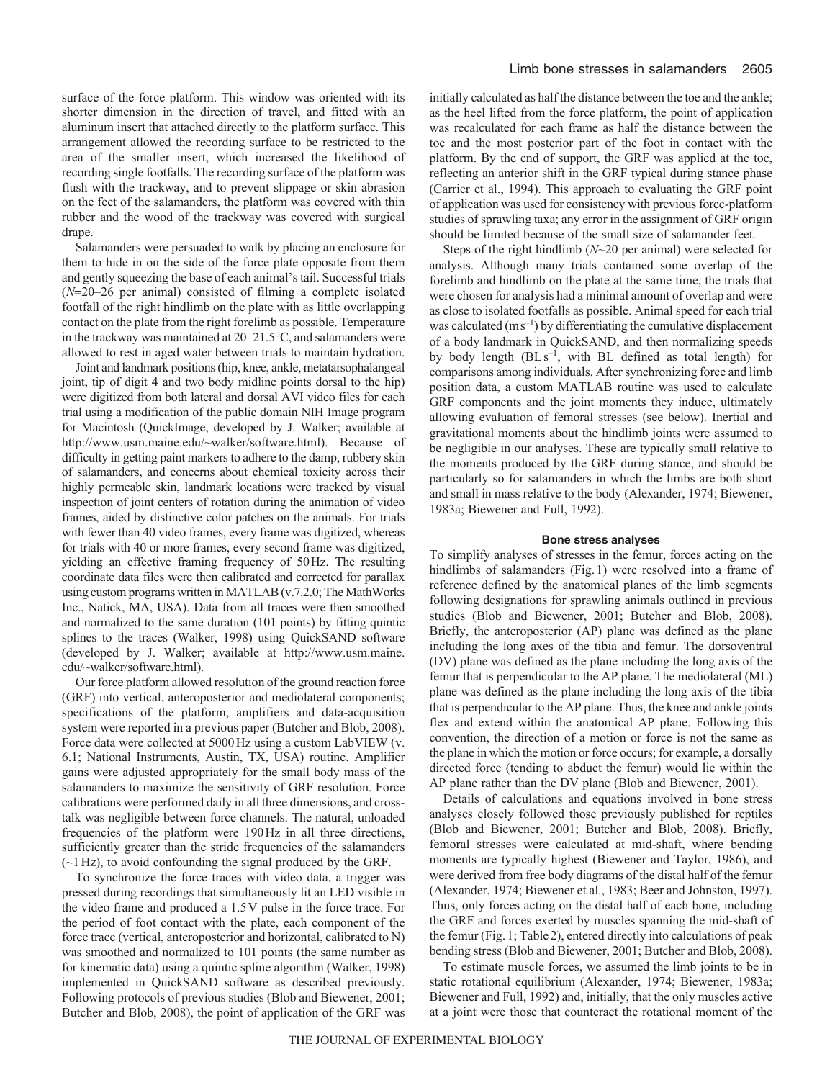surface of the force platform. This window was oriented with its shorter dimension in the direction of travel, and fitted with an aluminum insert that attached directly to the platform surface. This arrangement allowed the recording surface to be restricted to the area of the smaller insert, which increased the likelihood of recording single footfalls. The recording surface of the platform was flush with the trackway, and to prevent slippage or skin abrasion on the feet of the salamanders, the platform was covered with thin rubber and the wood of the trackway was covered with surgical drape.

Salamanders were persuaded to walk by placing an enclosure for them to hide in on the side of the force plate opposite from them and gently squeezing the base of each animal's tail. Successful trials (*N*=20–26 per animal) consisted of filming a complete isolated footfall of the right hindlimb on the plate with as little overlapping contact on the plate from the right forelimb as possible. Temperature in the trackway was maintained at 20–21.5°C, and salamanders were allowed to rest in aged water between trials to maintain hydration.

Joint and landmark positions (hip, knee, ankle, metatarsophalangeal joint, tip of digit 4 and two body midline points dorsal to the hip) were digitized from both lateral and dorsal AVI video files for each trial using a modification of the public domain NIH Image program for Macintosh (QuickImage, developed by J. Walker; available at http://www.usm.maine.edu/~walker/software.html). Because of difficulty in getting paint markers to adhere to the damp, rubbery skin of salamanders, and concerns about chemical toxicity across their highly permeable skin, landmark locations were tracked by visual inspection of joint centers of rotation during the animation of video frames, aided by distinctive color patches on the animals. For trials with fewer than 40 video frames, every frame was digitized, whereas for trials with 40 or more frames, every second frame was digitized, yielding an effective framing frequency of 50Hz. The resulting coordinate data files were then calibrated and corrected for parallax using custom programs written in MATLAB (v.7.2.0; The MathWorks Inc., Natick, MA, USA). Data from all traces were then smoothed and normalized to the same duration (101 points) by fitting quintic splines to the traces (Walker, 1998) using QuickSAND software (developed by J. Walker; available at http://www.usm.maine. edu/~walker/software.html).

Our force platform allowed resolution of the ground reaction force (GRF) into vertical, anteroposterior and mediolateral components; specifications of the platform, amplifiers and data-acquisition system were reported in a previous paper (Butcher and Blob, 2008). Force data were collected at 5000Hz using a custom LabVIEW (v. 6.1; National Instruments, Austin, TX, USA) routine. Amplifier gains were adjusted appropriately for the small body mass of the salamanders to maximize the sensitivity of GRF resolution. Force calibrations were performed daily in all three dimensions, and crosstalk was negligible between force channels. The natural, unloaded frequencies of the platform were 190Hz in all three directions, sufficiently greater than the stride frequencies of the salamanders  $(\sim)$  Hz), to avoid confounding the signal produced by the GRF.

To synchronize the force traces with video data, a trigger was pressed during recordings that simultaneously lit an LED visible in the video frame and produced a 1.5V pulse in the force trace. For the period of foot contact with the plate, each component of the force trace (vertical, anteroposterior and horizontal, calibrated to N) was smoothed and normalized to 101 points (the same number as for kinematic data) using a quintic spline algorithm (Walker, 1998) implemented in QuickSAND software as described previously. Following protocols of previous studies (Blob and Biewener, 2001; Butcher and Blob, 2008), the point of application of the GRF was initially calculated as half the distance between the toe and the ankle; as the heel lifted from the force platform, the point of application was recalculated for each frame as half the distance between the toe and the most posterior part of the foot in contact with the platform. By the end of support, the GRF was applied at the toe, reflecting an anterior shift in the GRF typical during stance phase (Carrier et al., 1994). This approach to evaluating the GRF point of application was used for consistency with previous force-platform studies of sprawling taxa; any error in the assignment of GRF origin should be limited because of the small size of salamander feet.

Steps of the right hindlimb (*N*~20 per animal) were selected for analysis. Although many trials contained some overlap of the forelimb and hindlimb on the plate at the same time, the trials that were chosen for analysis had a minimal amount of overlap and were as close to isolated footfalls as possible. Animal speed for each trial was calculated  $(ms^{-1})$  by differentiating the cumulative displacement of a body landmark in QuickSAND, and then normalizing speeds by body length  $(BLs^{-1})$ , with BL defined as total length) for comparisons among individuals. After synchronizing force and limb position data, a custom MATLAB routine was used to calculate GRF components and the joint moments they induce, ultimately allowing evaluation of femoral stresses (see below). Inertial and gravitational moments about the hindlimb joints were assumed to be negligible in our analyses. These are typically small relative to the moments produced by the GRF during stance, and should be particularly so for salamanders in which the limbs are both short and small in mass relative to the body (Alexander, 1974; Biewener, 1983a; Biewener and Full, 1992).

#### **Bone stress analyses**

To simplify analyses of stresses in the femur, forces acting on the hindlimbs of salamanders (Fig.1) were resolved into a frame of reference defined by the anatomical planes of the limb segments following designations for sprawling animals outlined in previous studies (Blob and Biewener, 2001; Butcher and Blob, 2008). Briefly, the anteroposterior (AP) plane was defined as the plane including the long axes of the tibia and femur. The dorsoventral (DV) plane was defined as the plane including the long axis of the femur that is perpendicular to the AP plane. The mediolateral (ML) plane was defined as the plane including the long axis of the tibia that is perpendicular to the AP plane. Thus, the knee and ankle joints flex and extend within the anatomical AP plane. Following this convention, the direction of a motion or force is not the same as the plane in which the motion or force occurs; for example, a dorsally directed force (tending to abduct the femur) would lie within the AP plane rather than the DV plane (Blob and Biewener, 2001).

Details of calculations and equations involved in bone stress analyses closely followed those previously published for reptiles (Blob and Biewener, 2001; Butcher and Blob, 2008). Briefly, femoral stresses were calculated at mid-shaft, where bending moments are typically highest (Biewener and Taylor, 1986), and were derived from free body diagrams of the distal half of the femur (Alexander, 1974; Biewener et al., 1983; Beer and Johnston, 1997). Thus, only forces acting on the distal half of each bone, including the GRF and forces exerted by muscles spanning the mid-shaft of the femur (Fig.1; Table2), entered directly into calculations of peak bending stress (Blob and Biewener, 2001; Butcher and Blob, 2008).

To estimate muscle forces, we assumed the limb joints to be in static rotational equilibrium (Alexander, 1974; Biewener, 1983a; Biewener and Full, 1992) and, initially, that the only muscles active at a joint were those that counteract the rotational moment of the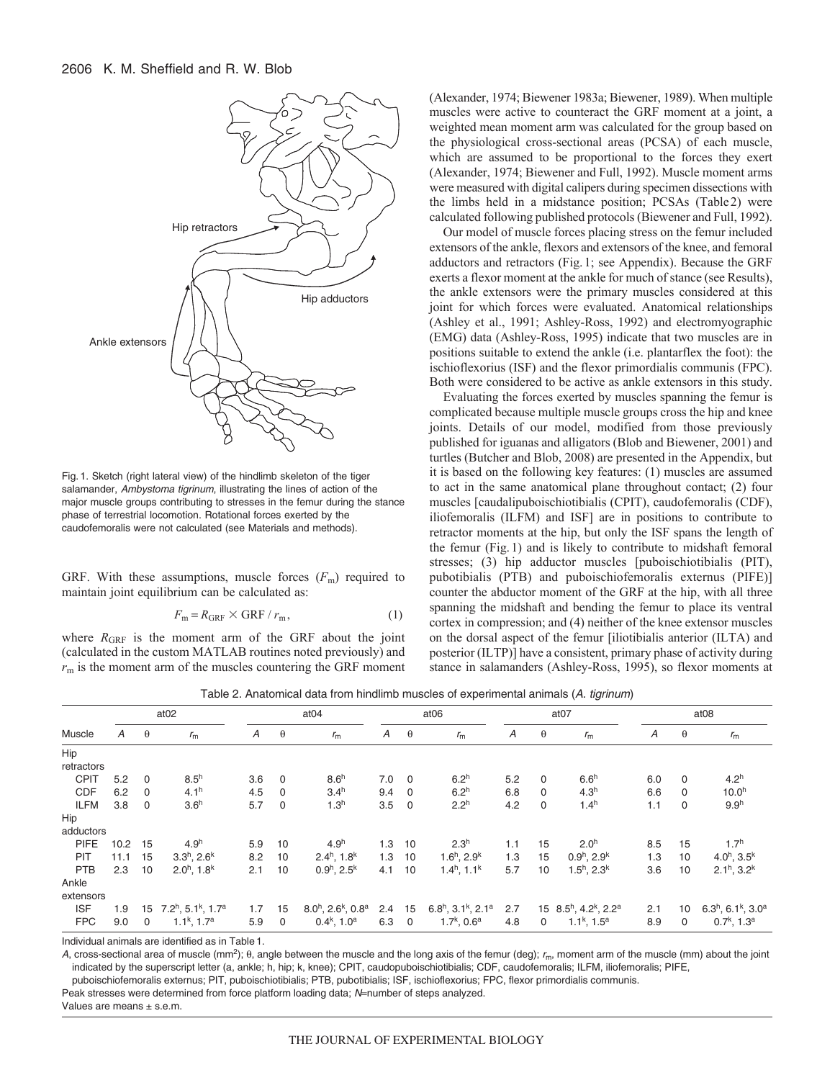

Fig. 1. Sketch (right lateral view) of the hindlimb skeleton of the tiger salamander, Ambystoma tigrinum, illustrating the lines of action of the major muscle groups contributing to stresses in the femur during the stance phase of terrestrial locomotion. Rotational forces exerted by the caudofemoralis were not calculated (see Materials and methods).

GRF. With these assumptions, muscle forces  $(F<sub>m</sub>)$  required to maintain joint equilibrium can be calculated as:

$$
F_{\rm m} = R_{\rm GRF} \times \rm GRF / r_{\rm m}, \qquad (1)
$$

where  $R_{GRF}$  is the moment arm of the GRF about the joint (calculated in the custom MATLAB routines noted previously) and *r*<sup>m</sup> is the moment arm of the muscles countering the GRF moment (Alexander, 1974; Biewener 1983a; Biewener, 1989). When multiple muscles were active to counteract the GRF moment at a joint, a weighted mean moment arm was calculated for the group based on the physiological cross-sectional areas (PCSA) of each muscle, which are assumed to be proportional to the forces they exert (Alexander, 1974; Biewener and Full, 1992). Muscle moment arms were measured with digital calipers during specimen dissections with the limbs held in a midstance position; PCSAs (Table2) were calculated following published protocols (Biewener and Full, 1992).

Our model of muscle forces placing stress on the femur included extensors of the ankle, flexors and extensors of the knee, and femoral adductors and retractors (Fig.1; see Appendix). Because the GRF exerts a flexor moment at the ankle for much of stance (see Results), the ankle extensors were the primary muscles considered at this joint for which forces were evaluated. Anatomical relationships (Ashley et al., 1991; Ashley-Ross, 1992) and electromyographic (EMG) data (Ashley-Ross, 1995) indicate that two muscles are in positions suitable to extend the ankle (i.e. plantarflex the foot): the ischioflexorius (ISF) and the flexor primordialis communis (FPC). Both were considered to be active as ankle extensors in this study.

Evaluating the forces exerted by muscles spanning the femur is complicated because multiple muscle groups cross the hip and knee joints. Details of our model, modified from those previously published for iguanas and alligators (Blob and Biewener, 2001) and turtles (Butcher and Blob, 2008) are presented in the Appendix, but it is based on the following key features: (1) muscles are assumed to act in the same anatomical plane throughout contact; (2) four muscles [caudalipuboischiotibialis (CPIT), caudofemoralis (CDF), iliofemoralis (ILFM) and ISF] are in positions to contribute to retractor moments at the hip, but only the ISF spans the length of the femur (Fig.1) and is likely to contribute to midshaft femoral stresses; (3) hip adductor muscles [puboischiotibialis (PIT), pubotibialis (PTB) and puboischiofemoralis externus (PIFE)] counter the abductor moment of the GRF at the hip, with all three spanning the midshaft and bending the femur to place its ventral cortex in compression; and (4) neither of the knee extensor muscles on the dorsal aspect of the femur [iliotibialis anterior (ILTA) and posterior (ILTP)] have a consistent, primary phase of activity during stance in salamanders (Ashley-Ross, 1995), so flexor moments at

|  | Table 2. Anatomical data from hindlimb muscles of experimental animals (A. tigrinum) |
|--|--------------------------------------------------------------------------------------|
|--|--------------------------------------------------------------------------------------|

|             | at <sub>02</sub> |                          | at <sub>04</sub>                                 |     |                | at <sub>06</sub>                                       |     |                         | at <sub>07</sub>            |     |          | at <sub>08</sub>                                 |     |             |                             |
|-------------|------------------|--------------------------|--------------------------------------------------|-----|----------------|--------------------------------------------------------|-----|-------------------------|-----------------------------|-----|----------|--------------------------------------------------|-----|-------------|-----------------------------|
| Muscle      | A                | $\theta$                 | $r_{\rm m}$                                      | Α   | $\theta$       | $r_{\rm m}$                                            | Α   | $\theta$                | $r_{\rm m}$                 | Α   | $\theta$ | $r_{\rm m}$                                      | Α   | $\theta$    | $r_{\rm m}$                 |
| Hip         |                  |                          |                                                  |     |                |                                                        |     |                         |                             |     |          |                                                  |     |             |                             |
| retractors  |                  |                          |                                                  |     |                |                                                        |     |                         |                             |     |          |                                                  |     |             |                             |
| <b>CPIT</b> | 5.2              | $\overline{\phantom{0}}$ | 8.5 <sup>h</sup>                                 | 3.6 | $\overline{0}$ | 8.6 <sup>h</sup>                                       | 7.0 | $\overline{\mathbf{0}}$ | 6.2 <sup>h</sup>            | 5.2 | $\Omega$ | 6.6 <sup>h</sup>                                 | 6.0 | $\mathbf 0$ | 4.2 <sup>h</sup>            |
| <b>CDF</b>  | 6.2              | $\overline{0}$           | 4.1 <sup>h</sup>                                 | 4.5 | $\Omega$       | 3.4 <sup>h</sup>                                       | 9.4 | $\overline{0}$          | 6.2 <sup>h</sup>            | 6.8 | $\Omega$ | 4.3 <sup>h</sup>                                 | 6.6 | 0           | 10.0 <sup>h</sup>           |
| <b>ILFM</b> | 3.8              | $\overline{0}$           | 3.6 <sup>h</sup>                                 | 5.7 | $\mathbf 0$    | 1.3 <sup>h</sup>                                       | 3.5 | $\overline{0}$          | 2.2 <sup>h</sup>            | 4.2 | $\Omega$ | $1.4^h$                                          | 1.1 | 0           | 9.9 <sup>h</sup>            |
| Hip         |                  |                          |                                                  |     |                |                                                        |     |                         |                             |     |          |                                                  |     |             |                             |
| adductors   |                  |                          |                                                  |     |                |                                                        |     |                         |                             |     |          |                                                  |     |             |                             |
| <b>PIFE</b> | 10.2 15          |                          | 4.9 <sup>h</sup>                                 | 5.9 | 10             | 4.9 <sup>h</sup>                                       | 1.3 | 10                      | 2.3 <sup>h</sup>            | 1.1 | 15       | 2.0 <sup>h</sup>                                 | 8.5 | 15          | 1.7 <sup>h</sup>            |
| <b>PIT</b>  | 11.1             | - 15                     | $3.3^h$ , $2.6^k$                                | 8.2 | 10             | $2.4^h$ , 1.8 <sup>k</sup>                             | 1.3 | 10                      | $1.6^h$ , $2.9^k$           | 1.3 | 15       | $0.9^h$ , $2.9^k$                                | 1.3 | 10          | $4.0h$ , $3.5k$             |
| PTB         | 2.3              | 10                       | $2.0^h$ , $1.8^k$                                | 2.1 | 10             | $0.9^h$ , $2.5^k$                                      | 4.1 | 10                      | $1.4^h$ , $1.1^k$           | 5.7 | 10       | $1.5^h$ , $2.3^k$                                | 3.6 | 10          | $2.1^h$ , $3.2^k$           |
| Ankle       |                  |                          |                                                  |     |                |                                                        |     |                         |                             |     |          |                                                  |     |             |                             |
| extensors   |                  |                          |                                                  |     |                |                                                        |     |                         |                             |     |          |                                                  |     |             |                             |
| <b>ISF</b>  | 1.9              |                          | 15 $7.2^h$ , 5.1 <sup>k</sup> , 1.7 <sup>a</sup> | 1.7 | 15             | $8.0^{\text{h}}$ , 2.6 <sup>k</sup> , 0.8 <sup>a</sup> | 2.4 | 15                      | $6.8^h$ , $3.1^k$ , $2.1^a$ | 2.7 |          | 15 $8.5^h$ , 4.2 <sup>k</sup> , 2.2 <sup>a</sup> | 2.1 | 10          | $6.3^h$ , $6.1^k$ , $3.0^a$ |
| <b>FPC</b>  | 9.0              | $\mathbf 0$              | $1.1^k$ , $1.7^a$                                | 5.9 | $\mathbf 0$    | $0.4^k$ , 1.0 <sup>a</sup>                             | 6.3 | $\overline{0}$          | $1.7^k$ , $0.6^a$           | 4.8 | $\Omega$ | $1.1^k$ , $1.5^a$                                | 8.9 | $\mathbf 0$ | $0.7^k$ , $1.3^a$           |

Individual animals are identified as in Table 1.

A, cross-sectional area of muscle (mm<sup>2</sup>);  $\theta$ , angle between the muscle and the long axis of the femur (deg);  $r_m$ , moment arm of the muscle (mm) about the joint indicated by the superscript letter (a, ankle; h, hip; k, knee); CPIT, caudopuboischiotibialis; CDF, caudofemoralis; ILFM, iliofemoralis; PIFE, puboischiofemoralis externus; PIT, puboischiotibialis; PTB, pubotibialis; ISF, ischioflexorius; FPC, flexor primordialis communis.

Peak stresses were determined from force platform loading data; N=number of steps analyzed.

Values are means  $\pm$  s.e.m.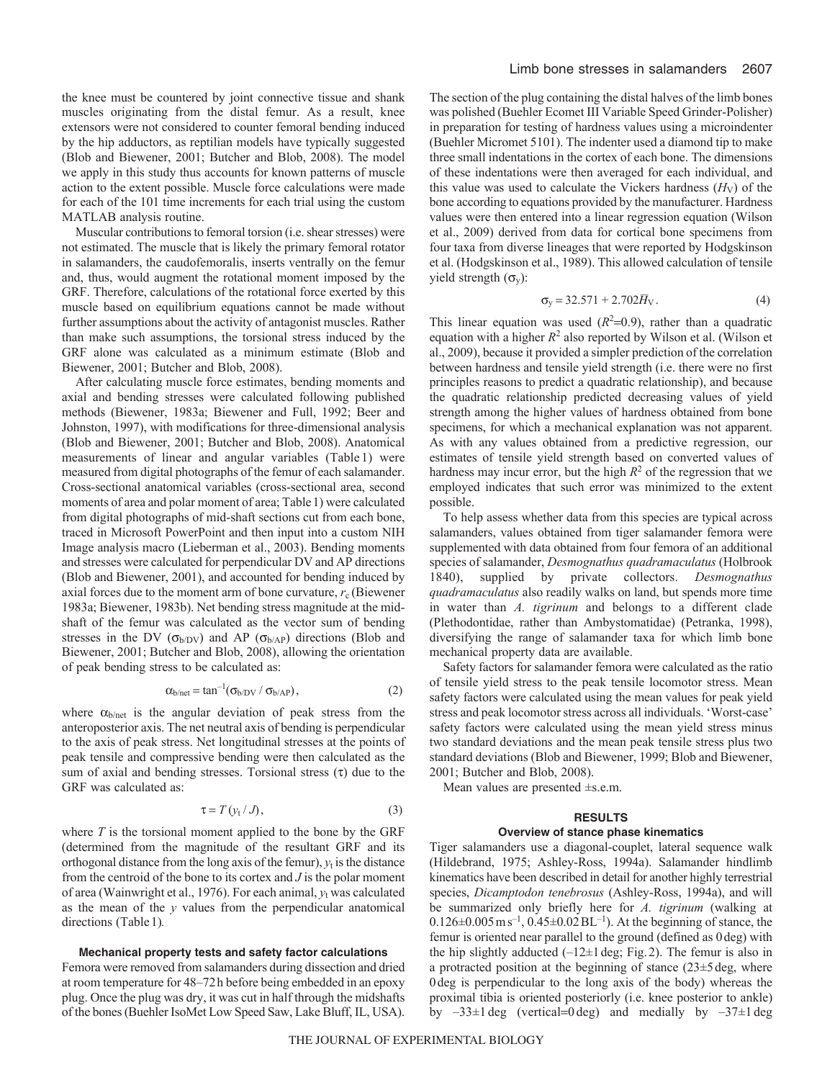the knee must be countered by joint connective tissue and shank muscles originating from the distal femur. As a result, knee extensors were not considered to counter femoral bending induced by the hip adductors, as reptilian models have typically suggested (Blob and Biewener, 2001; Butcher and Blob, 2008). The model we apply in this study thus accounts for known patterns of muscle action to the extent possible. Muscle force calculations were made for each of the 101 time increments for each trial using the custom MATLAB analysis routine.

Muscular contributions to femoral torsion (i.e. shear stresses) were not estimated. The muscle that is likely the primary femoral rotator in salamanders, the caudofemoralis, inserts ventrally on the femur and, thus, would augment the rotational moment imposed by the GRF. Therefore, calculations of the rotational force exerted by this muscle based on equilibrium equations cannot be made without further assumptions about the activity of antagonist muscles. Rather than make such assumptions, the torsional stress induced by the GRF alone was calculated as a minimum estimate (Blob and Biewener, 2001; Butcher and Blob, 2008).

After calculating muscle force estimates, bending moments and axial and bending stresses were calculated following published methods (Biewener, 1983a; Biewener and Full, 1992; Beer and Johnston, 1997), with modifications for three-dimensional analysis (Blob and Biewener, 2001; Butcher and Blob, 2008). Anatomical measurements of linear and angular variables (Table 1) were measured from digital photographs of the femur of each salamander. Cross-sectional anatomical variables (cross-sectional area, second moments of area and polar moment of area; Table1) were calculated from digital photographs of mid-shaft sections cut from each bone, traced in Microsoft PowerPoint and then input into a custom NIH Image analysis macro (Lieberman et al., 2003). Bending moments and stresses were calculated for perpendicular DV and AP directions (Blob and Biewener, 2001), and accounted for bending induced by axial forces due to the moment arm of bone curvature,  $r_c$  (Biewener 1983a; Biewener, 1983b). Net bending stress magnitude at the midshaft of the femur was calculated as the vector sum of bending stresses in the DV ( $\sigma_{b/DV}$ ) and AP ( $\sigma_{b/AP}$ ) directions (Blob and Biewener, 2001; Butcher and Blob, 2008), allowing the orientation of peak bending stress to be calculated as:

$$
\alpha_{b/net} = \tan^{-1}(\sigma_{b/DV} / \sigma_{b/AP}), \qquad (2)
$$

where  $\alpha_{b/net}$  is the angular deviation of peak stress from the anteroposterior axis. The net neutral axis of bending is perpendicular to the axis of peak stress. Net longitudinal stresses at the points of peak tensile and compressive bending were then calculated as the sum of axial and bending stresses. Torsional stress  $(\tau)$  due to the GRF was calculated as:

$$
\tau = T\left(y_t / J\right),\tag{3}
$$

where *T* is the torsional moment applied to the bone by the GRF (determined from the magnitude of the resultant GRF and its orthogonal distance from the long axis of the femur),  $y_t$  is the distance from the centroid of the bone to its cortex and *J* is the polar moment of area (Wainwright et al., 1976). For each animal, *y*<sup>t</sup> was calculated as the mean of the *y* values from the perpendicular anatomical directions (Table 1).

#### **Mechanical property tests and safety factor calculations**

Femora were removed from salamanders during dissection and dried at room temperature for 48–72h before being embedded in an epoxy plug. Once the plug was dry, it was cut in half through the midshafts of the bones (Buehler IsoMet Low Speed Saw, Lake Bluff, IL, USA). The section of the plug containing the distal halves of the limb bones was polished (Buehler Ecomet III Variable Speed Grinder-Polisher) in preparation for testing of hardness values using a microindenter (Buehler Micromet 5101). The indenter used a diamond tip to make three small indentations in the cortex of each bone. The dimensions of these indentations were then averaged for each individual, and this value was used to calculate the Vickers hardness  $(H_V)$  of the bone according to equations provided by the manufacturer. Hardness values were then entered into a linear regression equation (Wilson et al., 2009) derived from data for cortical bone specimens from four taxa from diverse lineages that were reported by Hodgskinson et al. (Hodgskinson et al., 1989). This allowed calculation of tensile yield strength  $(\sigma_v)$ :

$$
\sigma_{y} = 32.571 + 2.702\overline{H}_{V}.
$$
 (4)

This linear equation was used  $(R^2=0.9)$ , rather than a quadratic equation with a higher  $R^2$  also reported by Wilson et al. (Wilson et al., 2009), because it provided a simpler prediction of the correlation between hardness and tensile yield strength (i.e. there were no first principles reasons to predict a quadratic relationship), and because the quadratic relationship predicted decreasing values of yield strength among the higher values of hardness obtained from bone specimens, for which a mechanical explanation was not apparent. As with any values obtained from a predictive regression, our estimates of tensile yield strength based on converted values of hardness may incur error, but the high  $R^2$  of the regression that we employed indicates that such error was minimized to the extent possible.

To help assess whether data from this species are typical across salamanders, values obtained from tiger salamander femora were supplemented with data obtained from four femora of an additional species of salamander, *Desmognathus quadramaculatus* (Holbrook 1840), supplied by private collectors. *Desmognathus quadramaculatus* also readily walks on land, but spends more time in water than *A. tigrinum* and belongs to a different clade (Plethodontidae, rather than Ambystomatidae) (Petranka, 1998), diversifying the range of salamander taxa for which limb bone mechanical property data are available.

Safety factors for salamander femora were calculated as the ratio of tensile yield stress to the peak tensile locomotor stress. Mean safety factors were calculated using the mean values for peak yield stress and peak locomotor stress across all individuals. 'Worst-case' safety factors were calculated using the mean yield stress minus two standard deviations and the mean peak tensile stress plus two standard deviations (Blob and Biewener, 1999; Blob and Biewener, 2001; Butcher and Blob, 2008).

Mean values are presented ±s.e.m.

## **RESULTS**

## **Overview of stance phase kinematics**

Tiger salamanders use a diagonal-couplet, lateral sequence walk (Hildebrand, 1975; Ashley-Ross, 1994a). Salamander hindlimb kinematics have been described in detail for another highly terrestrial species, *Dicamptodon tenebrosus* (Ashley-Ross, 1994a), and will be summarized only briefly here for *A. tigrinum* (walking at  $0.126 \pm 0.005$  ms<sup>-1</sup>,  $0.45 \pm 0.02$  BL<sup>-1</sup>). At the beginning of stance, the femur is oriented near parallel to the ground (defined as 0deg) with the hip slightly adducted  $(-12 \pm 1 \text{ deg}; \text{ Fig. 2})$ . The femur is also in a protracted position at the beginning of stance  $(23\pm5)$  deg, where 0deg is perpendicular to the long axis of the body) whereas the proximal tibia is oriented posteriorly (i.e. knee posterior to ankle) by  $-33\pm1$  deg (vertical=0 deg) and medially by  $-37\pm1$  deg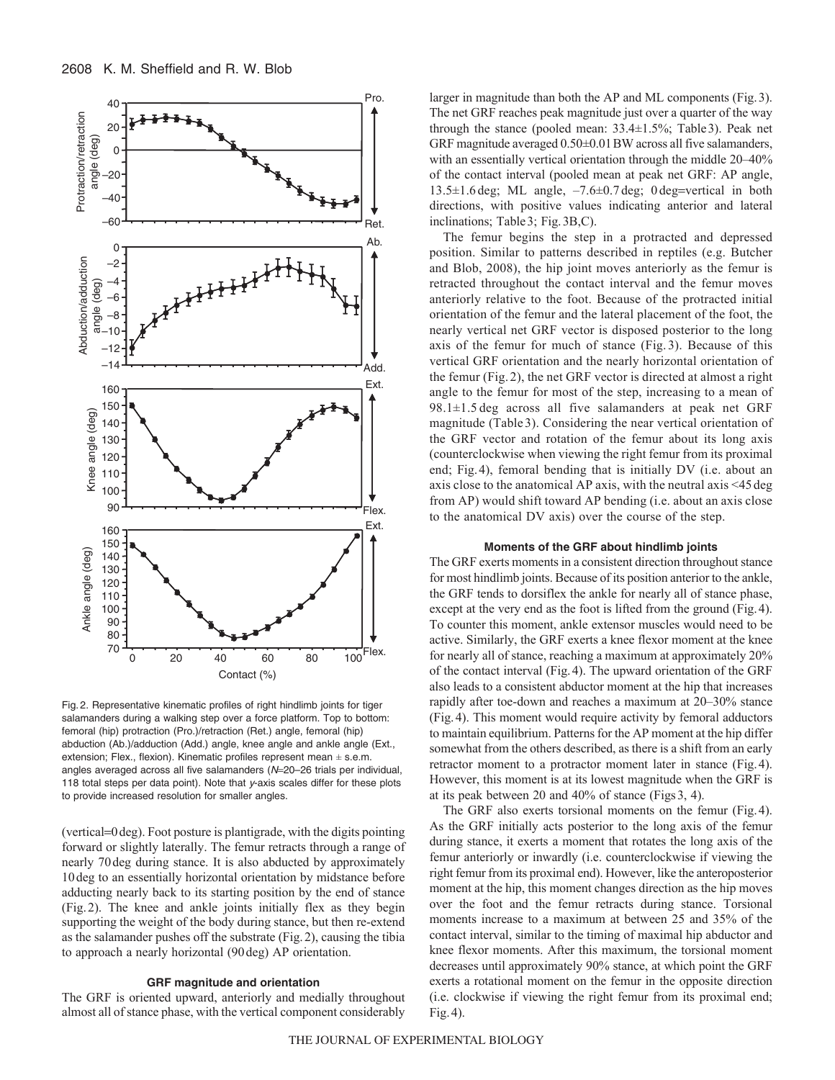

Fig. 2. Representative kinematic profiles of right hindlimb joints for tiger salamanders during a walking step over a force platform. Top to bottom: femoral (hip) protraction (Pro.)/retraction (Ret.) angle, femoral (hip) abduction (Ab.)/adduction (Add.) angle, knee angle and ankle angle (Ext., extension; Flex., flexion). Kinematic profiles represent mean ± s.e.m. angles averaged across all five salamanders (N=20-26 trials per individual, 118 total steps per data point). Note that y-axis scales differ for these plots to provide increased resolution for smaller angles.

(vertical=0 deg). Foot posture is plantigrade, with the digits pointing forward or slightly laterally. The femur retracts through a range of nearly 70deg during stance. It is also abducted by approximately 10deg to an essentially horizontal orientation by midstance before adducting nearly back to its starting position by the end of stance (Fig.2). The knee and ankle joints initially flex as they begin supporting the weight of the body during stance, but then re-extend as the salamander pushes off the substrate (Fig.2), causing the tibia to approach a nearly horizontal (90deg) AP orientation.

## **GRF magnitude and orientation**

The GRF is oriented upward, anteriorly and medially throughout almost all of stance phase, with the vertical component considerably larger in magnitude than both the AP and ML components (Fig.3). The net GRF reaches peak magnitude just over a quarter of the way through the stance (pooled mean: 33.4±1.5%; Table3). Peak net GRF magnitude averaged 0.50±0.01BW across all five salamanders, with an essentially vertical orientation through the middle 20–40% of the contact interval (pooled mean at peak net GRF: AP angle,  $13.5\pm1.6$  deg; ML angle,  $-7.6\pm0.7$  deg; 0 deg=vertical in both directions, with positive values indicating anterior and lateral inclinations; Table3; Fig.3B,C).

The femur begins the step in a protracted and depressed position. Similar to patterns described in reptiles (e.g. Butcher and Blob, 2008), the hip joint moves anteriorly as the femur is retracted throughout the contact interval and the femur moves anteriorly relative to the foot. Because of the protracted initial orientation of the femur and the lateral placement of the foot, the nearly vertical net GRF vector is disposed posterior to the long axis of the femur for much of stance (Fig. 3). Because of this vertical GRF orientation and the nearly horizontal orientation of the femur (Fig. 2), the net GRF vector is directed at almost a right angle to the femur for most of the step, increasing to a mean of 98.1±1.5 deg across all five salamanders at peak net GRF magnitude (Table 3). Considering the near vertical orientation of the GRF vector and rotation of the femur about its long axis (counterclockwise when viewing the right femur from its proximal end; Fig.4), femoral bending that is initially DV (i.e. about an axis close to the anatomical AP axis, with the neutral axis <45deg from AP) would shift toward AP bending (i.e. about an axis close to the anatomical DV axis) over the course of the step.

## **Moments of the GRF about hindlimb joints**

The GRF exerts moments in a consistent direction throughout stance for most hindlimb joints. Because of its position anterior to the ankle, the GRF tends to dorsiflex the ankle for nearly all of stance phase, except at the very end as the foot is lifted from the ground (Fig.4). To counter this moment, ankle extensor muscles would need to be active. Similarly, the GRF exerts a knee flexor moment at the knee for nearly all of stance, reaching a maximum at approximately 20% of the contact interval (Fig.4). The upward orientation of the GRF also leads to a consistent abductor moment at the hip that increases rapidly after toe-down and reaches a maximum at 20–30% stance (Fig.4). This moment would require activity by femoral adductors to maintain equilibrium. Patterns for the AP moment at the hip differ somewhat from the others described, as there is a shift from an early retractor moment to a protractor moment later in stance (Fig.4). However, this moment is at its lowest magnitude when the GRF is at its peak between 20 and 40% of stance (Figs3, 4).

The GRF also exerts torsional moments on the femur (Fig.4). As the GRF initially acts posterior to the long axis of the femur during stance, it exerts a moment that rotates the long axis of the femur anteriorly or inwardly (i.e. counterclockwise if viewing the right femur from its proximal end). However, like the anteroposterior moment at the hip, this moment changes direction as the hip moves over the foot and the femur retracts during stance. Torsional moments increase to a maximum at between 25 and 35% of the contact interval, similar to the timing of maximal hip abductor and knee flexor moments. After this maximum, the torsional moment decreases until approximately 90% stance, at which point the GRF exerts a rotational moment on the femur in the opposite direction (i.e. clockwise if viewing the right femur from its proximal end; Fig.4).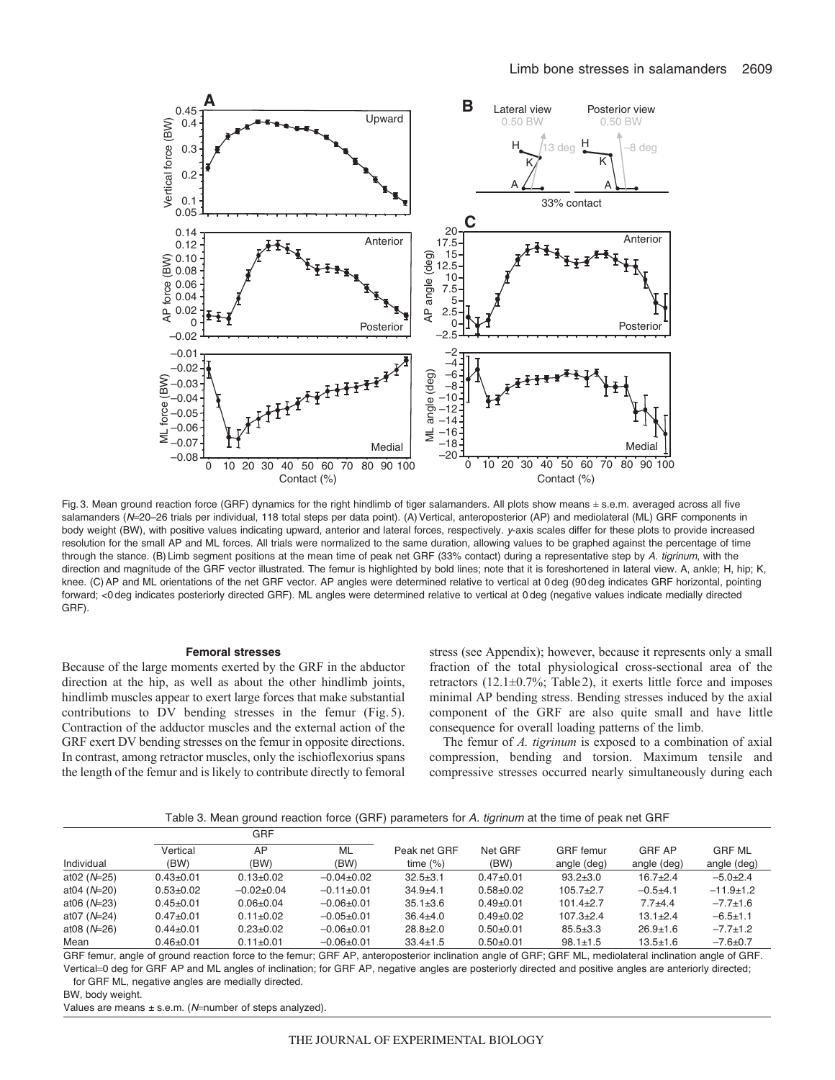

Fig. 3. Mean ground reaction force (GRF) dynamics for the right hindlimb of tiger salamanders. All plots show means  $\pm$  s.e.m. averaged across all five salamanders (N=20-26 trials per individual, 118 total steps per data point). (A) Vertical, anteroposterior (AP) and mediolateral (ML) GRF components in body weight (BW), with positive values indicating upward, anterior and lateral forces, respectively. y-axis scales differ for these plots to provide increased resolution for the small AP and ML forces. All trials were normalized to the same duration, allowing values to be graphed against the percentage of time through the stance. (B) Limb segment positions at the mean time of peak net GRF (33% contact) during a representative step by A. tigrinum, with the direction and magnitude of the GRF vector illustrated. The femur is highlighted by bold lines; note that it is foreshortened in lateral view. A, ankle; H, hip; K, knee. (C)AP and ML orientations of the net GRF vector. AP angles were determined relative to vertical at 0 deg (90 deg indicates GRF horizontal, pointing forward; <0 deg indicates posteriorly directed GRF). ML angles were determined relative to vertical at 0 deg (negative values indicate medially directed GRF).

## **Femoral stresses**

Because of the large moments exerted by the GRF in the abductor direction at the hip, as well as about the other hindlimb joints, hindlimb muscles appear to exert large forces that make substantial contributions to DV bending stresses in the femur (Fig. 5). Contraction of the adductor muscles and the external action of the GRF exert DV bending stresses on the femur in opposite directions. In contrast, among retractor muscles, only the ischioflexorius spans the length of the femur and is likely to contribute directly to femoral stress (see Appendix); however, because it represents only a small fraction of the total physiological cross-sectional area of the retractors (12.1±0.7%; Table2), it exerts little force and imposes minimal AP bending stress. Bending stresses induced by the axial component of the GRF are also quite small and have little consequence for overall loading patterns of the limb.

The femur of *A. tigrinum* is exposed to a combination of axial compression, bending and torsion. Maximum tensile and compressive stresses occurred nearly simultaneously during each

| Table 3. Mean ground reaction force (GRF) parameters for A. tigrinum at the time of peak net GRF |  |  |  |
|--------------------------------------------------------------------------------------------------|--|--|--|
|--------------------------------------------------------------------------------------------------|--|--|--|

|                           |                 | GRF             |                  |                |                 |                  |                |                |
|---------------------------|-----------------|-----------------|------------------|----------------|-----------------|------------------|----------------|----------------|
|                           | Vertical        | AP              | ML               | Peak net GRF   | Net GRF         | <b>GRF</b> femur | <b>GRF AP</b>  | <b>GRF ML</b>  |
| Individual                | (BW)            | (BW)            | (BW)             | time $(\%)$    | (BW)            | angle (deg)      | angle (deg)    | angle (deg)    |
| at <sub>02</sub> $(N=25)$ | $0.43 + 0.01$   | $0.13 \pm 0.02$ | $-0.04\pm0.02$   | $32.5 \pm 3.1$ | $0.47 + 0.01$   | $93.2 \pm 3.0$   | $16.7+2.4$     | $-5.0+2.4$     |
| at04 $(N=20)$             | $0.53 + 0.02$   | $-0.02\pm0.04$  | $-0.11 \pm 0.01$ | $34.9 + 4.1$   | $0.58 + 0.02$   | $105.7 + 2.7$    | $-0.5+4.1$     | $-11.9+1.2$    |
| at <sub>06</sub> $(N=23)$ | $0.45 \pm 0.01$ | $0.06 \pm 0.04$ | $-0.06 \pm 0.01$ | $35.1 \pm 3.6$ | $0.49 \pm 0.01$ | $101.4 \pm 2.7$  | $7.7 + 4.4$    | $-7.7 \pm 1.6$ |
| at <sub>07</sub> $(N=24)$ | $0.47 + 0.01$   | $0.11 \pm 0.02$ | $-0.05+0.01$     | $36.4 \pm 4.0$ | $0.49+0.02$     | $107.3 + 2.4$    | $13.1 \pm 2.4$ | $-6.5 \pm 1.1$ |
| at <sub>08</sub> $(N=26)$ | $0.44 \pm 0.01$ | $0.23 \pm 0.02$ | $-0.06 \pm 0.01$ | $28.8 \pm 2.0$ | $0.50 + 0.01$   | $85.5 \pm 3.3$   | $26.9 \pm 1.6$ | $-7.7 \pm 1.2$ |
| Mean                      | $0.46 + 0.01$   | $0.11 \pm 0.01$ | $-0.06 \pm 0.01$ | $33.4 \pm 1.5$ | $0.50 + 0.01$   | $98.1 \pm 1.5$   | $13.5 \pm 1.6$ | $-7.6 \pm 0.7$ |

GRF femur, angle of ground reaction force to the femur; GRF AP, anteroposterior inclination angle of GRF; GRF ML, mediolateral inclination angle of GRF. Vertical=0 deg for GRF AP and ML angles of inclination; for GRF AP, negative angles are posteriorly directed and positive angles are anteriorly directed;

for GRF ML, negative angles are medially directed.

BW, body weight.

Values are means ± s.e.m. (*N*=number of steps analyzed).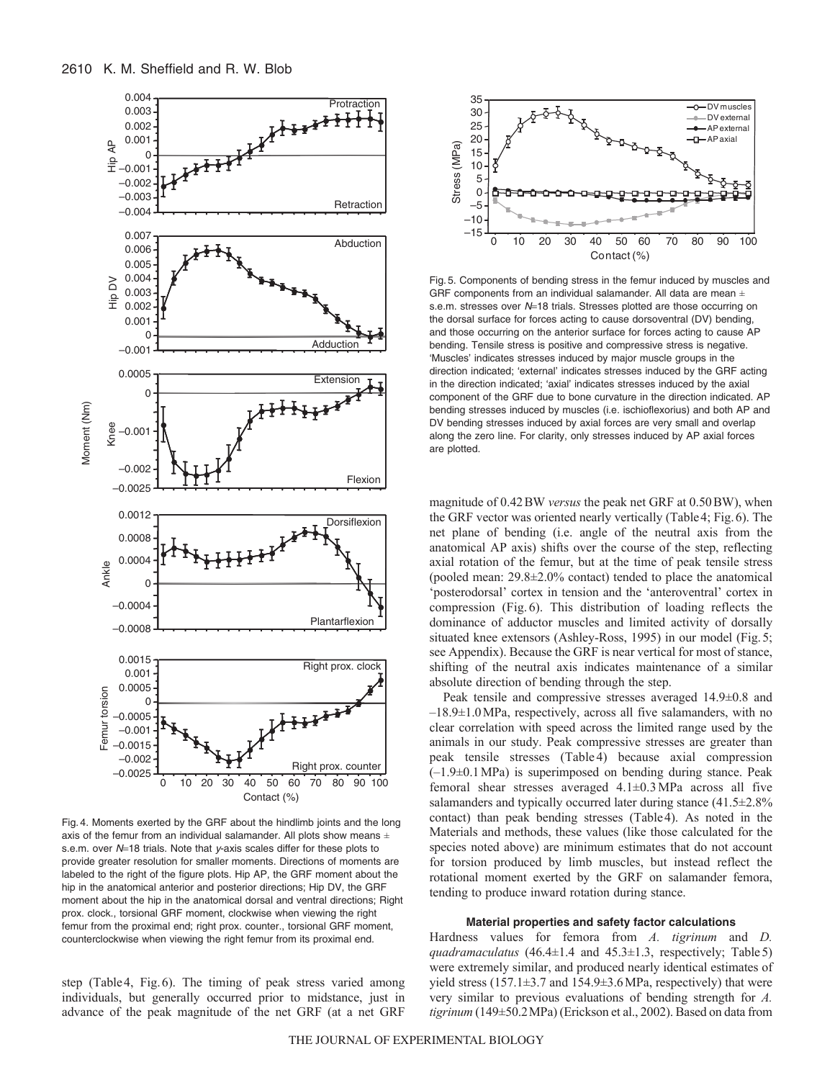

Fig. 4. Moments exerted by the GRF about the hindlimb joints and the long axis of the femur from an individual salamander. All plots show means  $\pm$ s.e.m. over N=18 trials. Note that y-axis scales differ for these plots to provide greater resolution for smaller moments. Directions of moments are labeled to the right of the figure plots. Hip AP, the GRF moment about the hip in the anatomical anterior and posterior directions; Hip DV, the GRF moment about the hip in the anatomical dorsal and ventral directions; Right prox. clock., torsional GRF moment, clockwise when viewing the right femur from the proximal end; right prox. counter., torsional GRF moment, counterclockwise when viewing the right femur from its proximal end.

step (Table4, Fig.6). The timing of peak stress varied among individuals, but generally occurred prior to midstance, just in advance of the peak magnitude of the net GRF (at a net GRF



Fig. 5. Components of bending stress in the femur induced by muscles and GRF components from an individual salamander. All data are mean  $\pm$ s.e.m. stresses over N=18 trials. Stresses plotted are those occurring on the dorsal surface for forces acting to cause dorsoventral (DV) bending, and those occurring on the anterior surface for forces acting to cause AP bending. Tensile stress is positive and compressive stress is negative. 'Muscles' indicates stresses induced by major muscle groups in the direction indicated; 'external' indicates stresses induced by the GRF acting in the direction indicated; 'axial' indicates stresses induced by the axial component of the GRF due to bone curvature in the direction indicated. AP bending stresses induced by muscles (i.e. ischioflexorius) and both AP and DV bending stresses induced by axial forces are very small and overlap along the zero line. For clarity, only stresses induced by AP axial forces are plotted.

magnitude of 0.42BW *versus* the peak net GRF at 0.50BW), when the GRF vector was oriented nearly vertically (Table4; Fig.6). The net plane of bending (i.e. angle of the neutral axis from the anatomical AP axis) shifts over the course of the step, reflecting axial rotation of the femur, but at the time of peak tensile stress (pooled mean: 29.8±2.0% contact) tended to place the anatomical 'posterodorsal' cortex in tension and the 'anteroventral' cortex in compression (Fig. 6). This distribution of loading reflects the dominance of adductor muscles and limited activity of dorsally situated knee extensors (Ashley-Ross, 1995) in our model (Fig.5; see Appendix). Because the GRF is near vertical for most of stance, shifting of the neutral axis indicates maintenance of a similar absolute direction of bending through the step.

Peak tensile and compressive stresses averaged 14.9±0.8 and –18.9±1.0MPa, respectively, across all five salamanders, with no clear correlation with speed across the limited range used by the animals in our study. Peak compressive stresses are greater than peak tensile stresses (Table 4) because axial compression (–1.9±0.1MPa) is superimposed on bending during stance. Peak femoral shear stresses averaged 4.1±0.3MPa across all five salamanders and typically occurred later during stance  $(41.5\pm2.8\%)$ contact) than peak bending stresses (Table4). As noted in the Materials and methods, these values (like those calculated for the species noted above) are minimum estimates that do not account for torsion produced by limb muscles, but instead reflect the rotational moment exerted by the GRF on salamander femora, tending to produce inward rotation during stance.

## **Material properties and safety factor calculations**

Hardness values for femora from *A. tigrinum* and *D. quadramaculatus* (46.4±1.4 and 45.3±1.3, respectively; Table5) were extremely similar, and produced nearly identical estimates of yield stress  $(157.1\pm3.7$  and  $154.9\pm3.6$  MPa, respectively) that were very similar to previous evaluations of bending strength for *A. tigrinum* (149±50.2MPa) (Erickson et al., 2002). Based on data from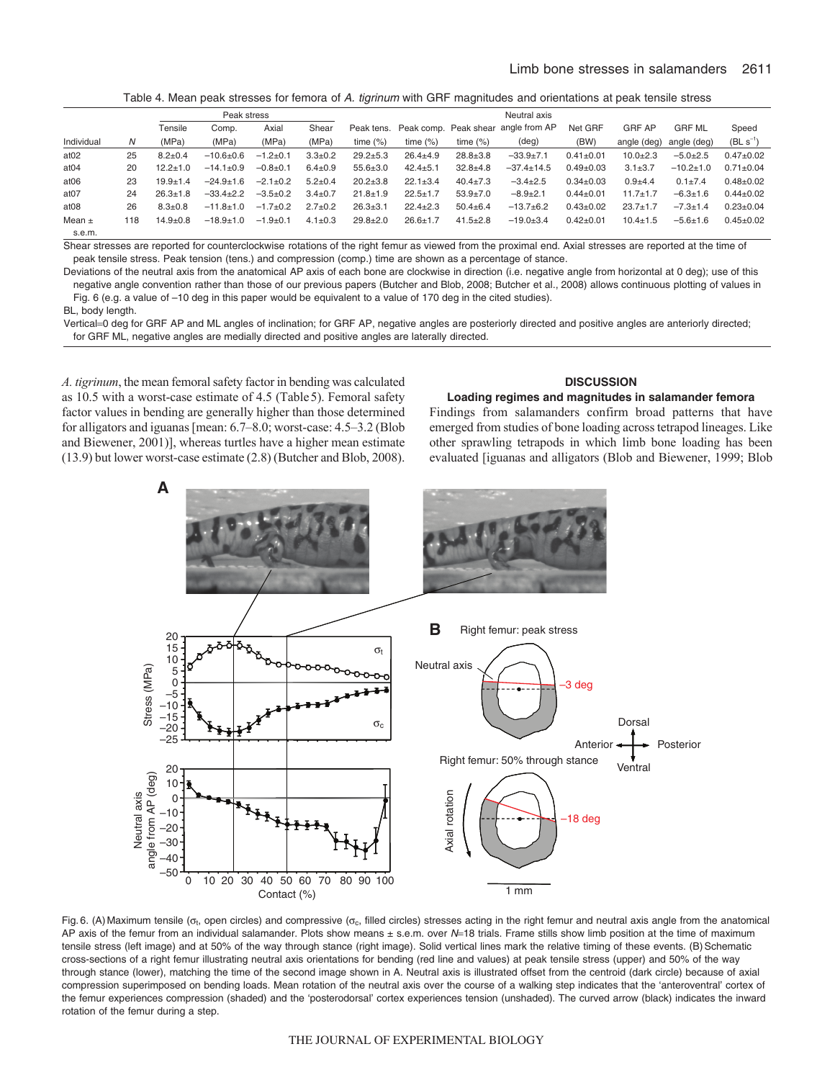Table 4. Mean peak stresses for femora of *A. tigrinum* with GRF magnitudes and orientations at peak tensile stress

|                  |     |                | Peak stress     |                |               |                |                |                | Neutral axis                        |                 |                |                 |                 |
|------------------|-----|----------------|-----------------|----------------|---------------|----------------|----------------|----------------|-------------------------------------|-----------------|----------------|-----------------|-----------------|
|                  |     | Tensile        | Comp.           | Axial          | Shear         | Peak tens.     |                |                | Peak comp. Peak shear angle from AP | Net GRF         | <b>GRF AP</b>  | <b>GRF ML</b>   | Speed           |
| Individual       | N   | (MPa)          | (MPa)           | (MPa)          | (MPa)         | time $(\%)$    | time $(\%)$    | time $(\%)$    | (deg)                               | (BW)            | angle (deg)    | angle (deg)     | $(BL S^{-1})$   |
| at <sub>02</sub> | 25  | $8.2 \pm 0.4$  | $-10.6+0.6$     | $-1.2+0.1$     | $3.3 \pm 0.2$ | $29.2 + 5.3$   | $26.4 \pm 4.9$ | $28.8 \pm 3.8$ | $-33.9+7.1$                         | $0.41 \pm 0.01$ | $10.0 + 2.3$   | $-5.0+2.5$      | $0.47 \pm 0.02$ |
| at04             | 20  | $12.2 + 1.0$   | $-14.1 \pm 0.9$ | $-0.8+0.1$     | $6.4 \pm 0.9$ | $55.6 \pm 3.0$ | $42.4 \pm 5.1$ | $32.8 + 4.8$   | $-37.4 \pm 14.5$                    | $0.49 \pm 0.03$ | $3.1 \pm 3.7$  | $-10.2 \pm 1.0$ | $0.71 \pm 0.04$ |
| at06             | 23  | $19.9 + 1.4$   | $-24.9+1.6$     | $-2.1 \pm 0.2$ | $5.2 \pm 0.4$ | $20.2 \pm 3.8$ | $22.1 \pm 3.4$ | $40.4 \pm 7.3$ | $-3.4+2.5$                          | $0.34 \pm 0.03$ | $0.9 + 4.4$    | $0.1 \pm 7.4$   | $0.48 \pm 0.02$ |
| at <sub>07</sub> | 24  | $26.3 \pm 1.8$ | $-33.4+2.2$     | $-3.5+0.2$     | $3.4 \pm 0.7$ | $21.8 + 1.9$   | $22.5 \pm 1.7$ | $53.9 \pm 7.0$ | $-8.9+2.1$                          | $0.44 \pm 0.01$ | $11.7 + 1.7$   | $-6.3 \pm 1.6$  | $0.44 \pm 0.02$ |
| at <sub>08</sub> | 26  | $8.3 \pm 0.8$  | $-11.8 + 1.0$   | $-1.7+0.2$     | $2.7 \pm 0.2$ | $26.3 \pm 3.1$ | $22.4 \pm 2.3$ | $50.4 \pm 6.4$ | $-13.7+6.2$                         | $0.43 \pm 0.02$ | $23.7 \pm 1.7$ | $-7.3 \pm 1.4$  | $0.23 \pm 0.04$ |
| Mean $\pm$       | 118 | $14.9 + 0.8$   | $-18.9+1.0$     | $-1.9+0.1$     | $4.1 \pm 0.3$ | $29.8 \pm 2.0$ | $26.6 \pm 1.7$ | $41.5 \pm 2.8$ | $-19.0+3.4$                         | $0.42 \pm 0.01$ | $10.4 \pm 1.5$ | $-5.6 \pm 1.6$  | $0.45 \pm 0.02$ |
| s.e.m.           |     |                |                 |                |               |                |                |                |                                     |                 |                |                 |                 |

Shear stresses are reported for counterclockwise rotations of the right femur as viewed from the proximal end. Axial stresses are reported at the time of peak tensile stress. Peak tension (tens.) and compression (comp.) time are shown as a percentage of stance.

Deviations of the neutral axis from the anatomical AP axis of each bone are clockwise in direction (i.e. negative angle from horizontal at 0 deg); use of this negative angle convention rather than those of our previous papers (Butcher and Blob, 2008; Butcher et al., 2008) allows continuous plotting of values in Fig. 6 (e.g. a value of –10 deg in this paper would be equivalent to a value of 170 deg in the cited studies).

BL, body length.

Vertical=0 deg for GRF AP and ML angles of inclination; for GRF AP, negative angles are posteriorly directed and positive angles are anteriorly directed; for GRF ML, negative angles are medially directed and positive angles are laterally directed.

*A. tigrinum*, the mean femoral safety factor in bending was calculated as 10.5 with a worst-case estimate of 4.5 (Table5). Femoral safety factor values in bending are generally higher than those determined for alligators and iguanas [mean: 6.7–8.0; worst-case: 4.5–3.2 (Blob and Biewener, 2001)], whereas turtles have a higher mean estimate (13.9) but lower worst-case estimate (2.8) (Butcher and Blob, 2008).

## **DISCUSSION**

**Loading regimes and magnitudes in salamander femora** Findings from salamanders confirm broad patterns that have emerged from studies of bone loading across tetrapod lineages. Like other sprawling tetrapods in which limb bone loading has been evaluated [iguanas and alligators (Blob and Biewener, 1999; Blob



Fig. 6. (A) Maximum tensile ( $\sigma$ <sub>t</sub>, open circles) and compressive ( $\sigma$ <sub>c</sub>, filled circles) stresses acting in the right femur and neutral axis angle from the anatomical AP axis of the femur from an individual salamander. Plots show means ± s.e.m. over N=18 trials. Frame stills show limb position at the time of maximum tensile stress (left image) and at 50% of the way through stance (right image). Solid vertical lines mark the relative timing of these events. (B)Schematic cross-sections of a right femur illustrating neutral axis orientations for bending (red line and values) at peak tensile stress (upper) and 50% of the way through stance (lower), matching the time of the second image shown in A. Neutral axis is illustrated offset from the centroid (dark circle) because of axial compression superimposed on bending loads. Mean rotation of the neutral axis over the course of a walking step indicates that the 'anteroventral' cortex of the femur experiences compression (shaded) and the 'posterodorsal' cortex experiences tension (unshaded). The curved arrow (black) indicates the inward rotation of the femur during a step.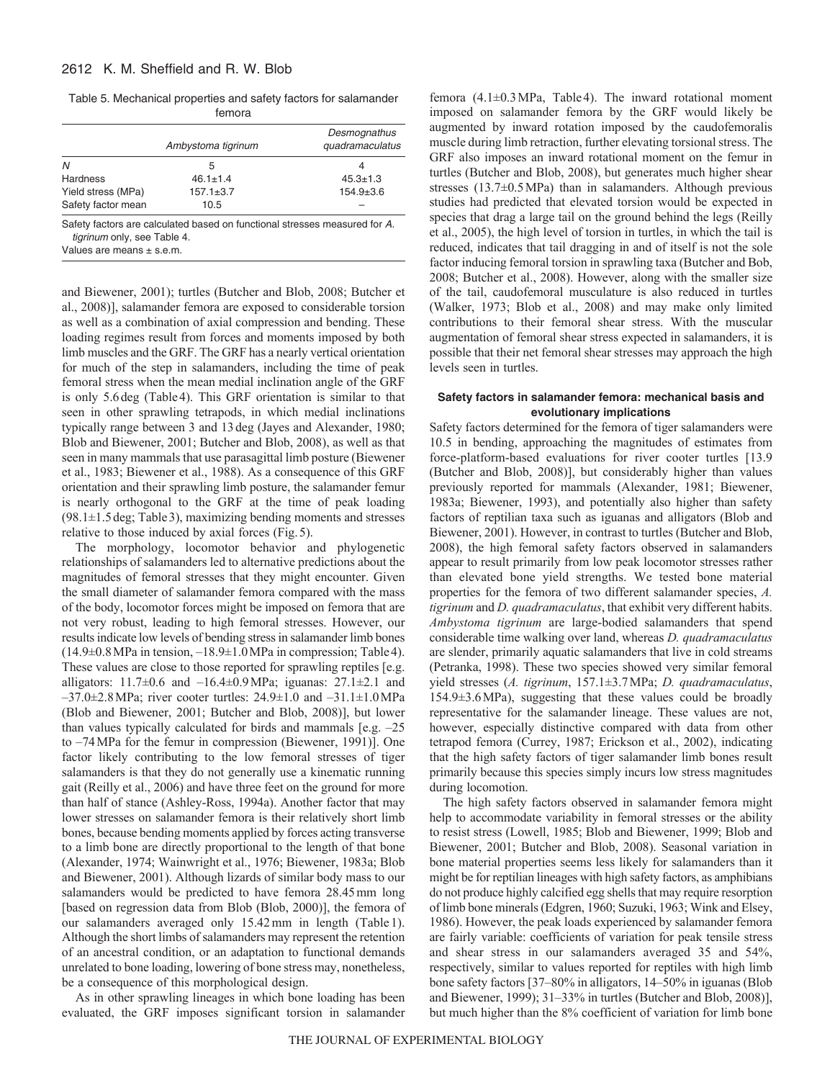Table 5. Mechanical properties and safety factors for salamander femora

|                    | Ambystoma tigrinum                                                         | Desmognathus<br>quadramaculatus |
|--------------------|----------------------------------------------------------------------------|---------------------------------|
| N                  | 5                                                                          |                                 |
| Hardness           | $46.1 \pm 1.4$                                                             | $45.3 \pm 1.3$                  |
| Yield stress (MPa) | $157.1 \pm 3.7$                                                            | $154.9 \pm 3.6$                 |
| Safety factor mean | 10.5                                                                       |                                 |
|                    | Safety factors are calculated based on functional stresses measured for A. |                                 |

tigrinum only, see Table 4. Values are means  $\pm$  s.e.m.

and Biewener, 2001); turtles (Butcher and Blob, 2008; Butcher et al., 2008)], salamander femora are exposed to considerable torsion as well as a combination of axial compression and bending. These loading regimes result from forces and moments imposed by both limb muscles and the GRF. The GRF has a nearly vertical orientation for much of the step in salamanders, including the time of peak femoral stress when the mean medial inclination angle of the GRF is only 5.6deg (Table4). This GRF orientation is similar to that seen in other sprawling tetrapods, in which medial inclinations typically range between 3 and 13deg (Jayes and Alexander, 1980; Blob and Biewener, 2001; Butcher and Blob, 2008), as well as that seen in many mammals that use parasagittal limb posture (Biewener et al., 1983; Biewener et al., 1988). As a consequence of this GRF orientation and their sprawling limb posture, the salamander femur is nearly orthogonal to the GRF at the time of peak loading (98.1±1.5deg; Table3), maximizing bending moments and stresses relative to those induced by axial forces (Fig.5).

The morphology, locomotor behavior and phylogenetic relationships of salamanders led to alternative predictions about the magnitudes of femoral stresses that they might encounter. Given the small diameter of salamander femora compared with the mass of the body, locomotor forces might be imposed on femora that are not very robust, leading to high femoral stresses. However, our results indicate low levels of bending stress in salamander limb bones (14.9±0.8MPa in tension, –18.9±1.0MPa in compression; Table4). These values are close to those reported for sprawling reptiles [e.g. alligators:  $11.7\pm0.6$  and  $-16.4\pm0.9$  MPa; iguanas:  $27.1\pm2.1$  and  $-37.0\pm2.8$  MPa; river cooter turtles:  $24.9\pm1.0$  and  $-31.1\pm1.0$  MPa (Blob and Biewener, 2001; Butcher and Blob, 2008)], but lower than values typically calculated for birds and mammals  $[e.g. -25]$ to –74MPa for the femur in compression (Biewener, 1991)]. One factor likely contributing to the low femoral stresses of tiger salamanders is that they do not generally use a kinematic running gait (Reilly et al., 2006) and have three feet on the ground for more than half of stance (Ashley-Ross, 1994a). Another factor that may lower stresses on salamander femora is their relatively short limb bones, because bending moments applied by forces acting transverse to a limb bone are directly proportional to the length of that bone (Alexander, 1974; Wainwright et al., 1976; Biewener, 1983a; Blob and Biewener, 2001). Although lizards of similar body mass to our salamanders would be predicted to have femora 28.45mm long [based on regression data from Blob (Blob, 2000)], the femora of our salamanders averaged only 15.42mm in length (Table 1). Although the short limbs of salamanders may represent the retention of an ancestral condition, or an adaptation to functional demands unrelated to bone loading, lowering of bone stress may, nonetheless, be a consequence of this morphological design.

As in other sprawling lineages in which bone loading has been evaluated, the GRF imposes significant torsion in salamander femora (4.1±0.3MPa, Table4). The inward rotational moment imposed on salamander femora by the GRF would likely be augmented by inward rotation imposed by the caudofemoralis muscle during limb retraction, further elevating torsional stress. The GRF also imposes an inward rotational moment on the femur in turtles (Butcher and Blob, 2008), but generates much higher shear stresses (13.7±0.5MPa) than in salamanders. Although previous studies had predicted that elevated torsion would be expected in species that drag a large tail on the ground behind the legs (Reilly et al., 2005), the high level of torsion in turtles, in which the tail is reduced, indicates that tail dragging in and of itself is not the sole factor inducing femoral torsion in sprawling taxa (Butcher and Bob, 2008; Butcher et al., 2008). However, along with the smaller size of the tail, caudofemoral musculature is also reduced in turtles (Walker, 1973; Blob et al., 2008) and may make only limited contributions to their femoral shear stress. With the muscular augmentation of femoral shear stress expected in salamanders, it is possible that their net femoral shear stresses may approach the high levels seen in turtles.

## **Safety factors in salamander femora: mechanical basis and evolutionary implications**

Safety factors determined for the femora of tiger salamanders were 10.5 in bending, approaching the magnitudes of estimates from force-platform-based evaluations for river cooter turtles [13.9 (Butcher and Blob, 2008)], but considerably higher than values previously reported for mammals (Alexander, 1981; Biewener, 1983a; Biewener, 1993), and potentially also higher than safety factors of reptilian taxa such as iguanas and alligators (Blob and Biewener, 2001). However, in contrast to turtles (Butcher and Blob, 2008), the high femoral safety factors observed in salamanders appear to result primarily from low peak locomotor stresses rather than elevated bone yield strengths. We tested bone material properties for the femora of two different salamander species, *A. tigrinum* and *D. quadramaculatus*, that exhibit very different habits. *Ambystoma tigrinum* are large-bodied salamanders that spend considerable time walking over land, whereas *D. quadramaculatus* are slender, primarily aquatic salamanders that live in cold streams (Petranka, 1998). These two species showed very similar femoral yield stresses (*A. tigrinum*, 157.1±3.7MPa; *D. quadramaculatus*, 154.9±3.6MPa), suggesting that these values could be broadly representative for the salamander lineage. These values are not, however, especially distinctive compared with data from other tetrapod femora (Currey, 1987; Erickson et al., 2002), indicating that the high safety factors of tiger salamander limb bones result primarily because this species simply incurs low stress magnitudes during locomotion.

The high safety factors observed in salamander femora might help to accommodate variability in femoral stresses or the ability to resist stress (Lowell, 1985; Blob and Biewener, 1999; Blob and Biewener, 2001; Butcher and Blob, 2008). Seasonal variation in bone material properties seems less likely for salamanders than it might be for reptilian lineages with high safety factors, as amphibians do not produce highly calcified egg shells that may require resorption of limb bone minerals (Edgren, 1960; Suzuki, 1963; Wink and Elsey, 1986). However, the peak loads experienced by salamander femora are fairly variable: coefficients of variation for peak tensile stress and shear stress in our salamanders averaged 35 and 54%, respectively, similar to values reported for reptiles with high limb bone safety factors [37–80% in alligators, 14–50% in iguanas (Blob and Biewener, 1999); 31–33% in turtles (Butcher and Blob, 2008)], but much higher than the 8% coefficient of variation for limb bone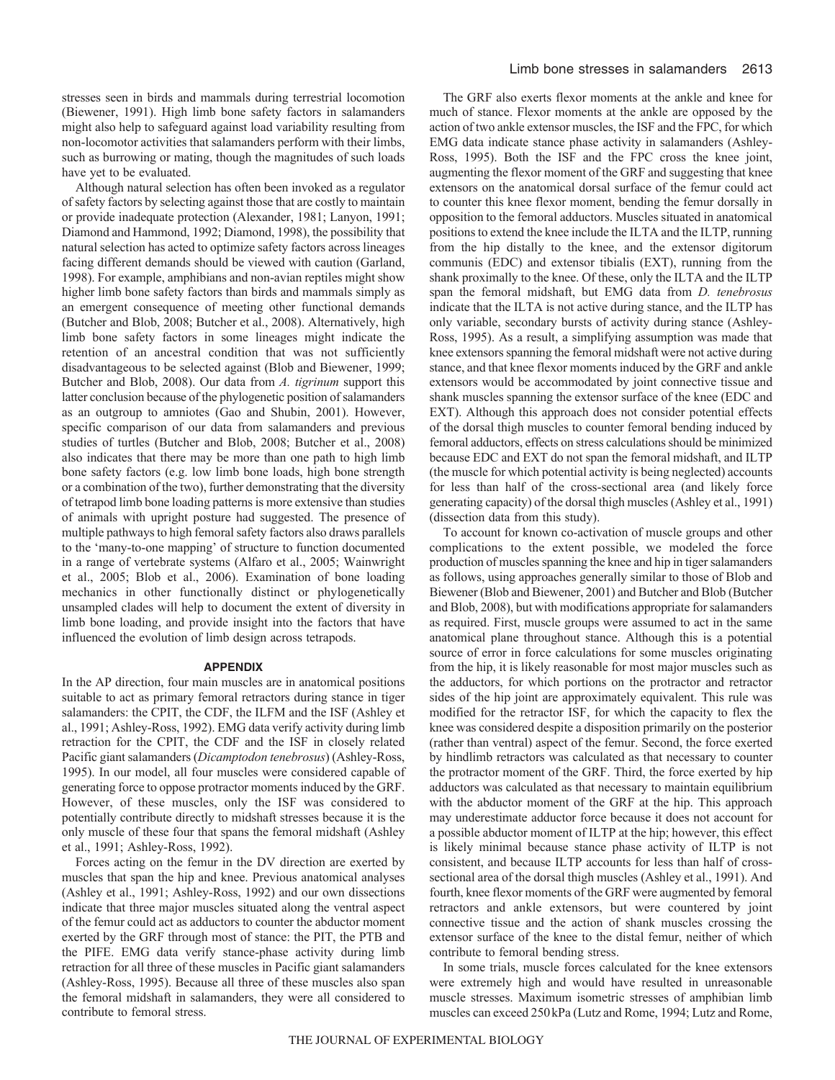stresses seen in birds and mammals during terrestrial locomotion (Biewener, 1991). High limb bone safety factors in salamanders might also help to safeguard against load variability resulting from non-locomotor activities that salamanders perform with their limbs, such as burrowing or mating, though the magnitudes of such loads have yet to be evaluated.

Although natural selection has often been invoked as a regulator of safety factors by selecting against those that are costly to maintain or provide inadequate protection (Alexander, 1981; Lanyon, 1991; Diamond and Hammond, 1992; Diamond, 1998), the possibility that natural selection has acted to optimize safety factors across lineages facing different demands should be viewed with caution (Garland, 1998). For example, amphibians and non-avian reptiles might show higher limb bone safety factors than birds and mammals simply as an emergent consequence of meeting other functional demands (Butcher and Blob, 2008; Butcher et al., 2008). Alternatively, high limb bone safety factors in some lineages might indicate the retention of an ancestral condition that was not sufficiently disadvantageous to be selected against (Blob and Biewener, 1999; Butcher and Blob, 2008). Our data from *A. tigrinum* support this latter conclusion because of the phylogenetic position of salamanders as an outgroup to amniotes (Gao and Shubin, 2001). However, specific comparison of our data from salamanders and previous studies of turtles (Butcher and Blob, 2008; Butcher et al., 2008) also indicates that there may be more than one path to high limb bone safety factors (e.g. low limb bone loads, high bone strength or a combination of the two), further demonstrating that the diversity of tetrapod limb bone loading patterns is more extensive than studies of animals with upright posture had suggested. The presence of multiple pathways to high femoral safety factors also draws parallels to the 'many-to-one mapping' of structure to function documented in a range of vertebrate systems (Alfaro et al., 2005; Wainwright et al., 2005; Blob et al., 2006). Examination of bone loading mechanics in other functionally distinct or phylogenetically unsampled clades will help to document the extent of diversity in limb bone loading, and provide insight into the factors that have influenced the evolution of limb design across tetrapods.

## **APPENDIX**

In the AP direction, four main muscles are in anatomical positions suitable to act as primary femoral retractors during stance in tiger salamanders: the CPIT, the CDF, the ILFM and the ISF (Ashley et al., 1991; Ashley-Ross, 1992). EMG data verify activity during limb retraction for the CPIT, the CDF and the ISF in closely related Pacific giant salamanders (*Dicamptodon tenebrosus*) (Ashley-Ross, 1995). In our model, all four muscles were considered capable of generating force to oppose protractor moments induced by the GRF. However, of these muscles, only the ISF was considered to potentially contribute directly to midshaft stresses because it is the only muscle of these four that spans the femoral midshaft (Ashley et al., 1991; Ashley-Ross, 1992).

Forces acting on the femur in the DV direction are exerted by muscles that span the hip and knee. Previous anatomical analyses (Ashley et al., 1991; Ashley-Ross, 1992) and our own dissections indicate that three major muscles situated along the ventral aspect of the femur could act as adductors to counter the abductor moment exerted by the GRF through most of stance: the PIT, the PTB and the PIFE. EMG data verify stance-phase activity during limb retraction for all three of these muscles in Pacific giant salamanders (Ashley-Ross, 1995). Because all three of these muscles also span the femoral midshaft in salamanders, they were all considered to contribute to femoral stress.

The GRF also exerts flexor moments at the ankle and knee for much of stance. Flexor moments at the ankle are opposed by the action of two ankle extensor muscles, the ISF and the FPC, for which EMG data indicate stance phase activity in salamanders (Ashley-Ross, 1995). Both the ISF and the FPC cross the knee joint, augmenting the flexor moment of the GRF and suggesting that knee extensors on the anatomical dorsal surface of the femur could act to counter this knee flexor moment, bending the femur dorsally in opposition to the femoral adductors. Muscles situated in anatomical positions to extend the knee include the ILTA and the ILTP, running from the hip distally to the knee, and the extensor digitorum communis (EDC) and extensor tibialis (EXT), running from the shank proximally to the knee. Of these, only the ILTA and the ILTP span the femoral midshaft, but EMG data from *D. tenebrosus* indicate that the ILTA is not active during stance, and the ILTP has only variable, secondary bursts of activity during stance (Ashley-Ross, 1995). As a result, a simplifying assumption was made that knee extensors spanning the femoral midshaft were not active during stance, and that knee flexor moments induced by the GRF and ankle extensors would be accommodated by joint connective tissue and shank muscles spanning the extensor surface of the knee (EDC and EXT). Although this approach does not consider potential effects of the dorsal thigh muscles to counter femoral bending induced by femoral adductors, effects on stress calculations should be minimized because EDC and EXT do not span the femoral midshaft, and ILTP (the muscle for which potential activity is being neglected) accounts for less than half of the cross-sectional area (and likely force generating capacity) of the dorsal thigh muscles (Ashley et al., 1991) (dissection data from this study).

To account for known co-activation of muscle groups and other complications to the extent possible, we modeled the force production of muscles spanning the knee and hip in tiger salamanders as follows, using approaches generally similar to those of Blob and Biewener (Blob and Biewener, 2001) and Butcher and Blob (Butcher and Blob, 2008), but with modifications appropriate for salamanders as required. First, muscle groups were assumed to act in the same anatomical plane throughout stance. Although this is a potential source of error in force calculations for some muscles originating from the hip, it is likely reasonable for most major muscles such as the adductors, for which portions on the protractor and retractor sides of the hip joint are approximately equivalent. This rule was modified for the retractor ISF, for which the capacity to flex the knee was considered despite a disposition primarily on the posterior (rather than ventral) aspect of the femur. Second, the force exerted by hindlimb retractors was calculated as that necessary to counter the protractor moment of the GRF. Third, the force exerted by hip adductors was calculated as that necessary to maintain equilibrium with the abductor moment of the GRF at the hip. This approach may underestimate adductor force because it does not account for a possible abductor moment of ILTP at the hip; however, this effect is likely minimal because stance phase activity of ILTP is not consistent, and because ILTP accounts for less than half of crosssectional area of the dorsal thigh muscles (Ashley et al., 1991). And fourth, knee flexor moments of the GRF were augmented by femoral retractors and ankle extensors, but were countered by joint connective tissue and the action of shank muscles crossing the extensor surface of the knee to the distal femur, neither of which contribute to femoral bending stress.

In some trials, muscle forces calculated for the knee extensors were extremely high and would have resulted in unreasonable muscle stresses. Maximum isometric stresses of amphibian limb muscles can exceed 250kPa (Lutz and Rome, 1994; Lutz and Rome,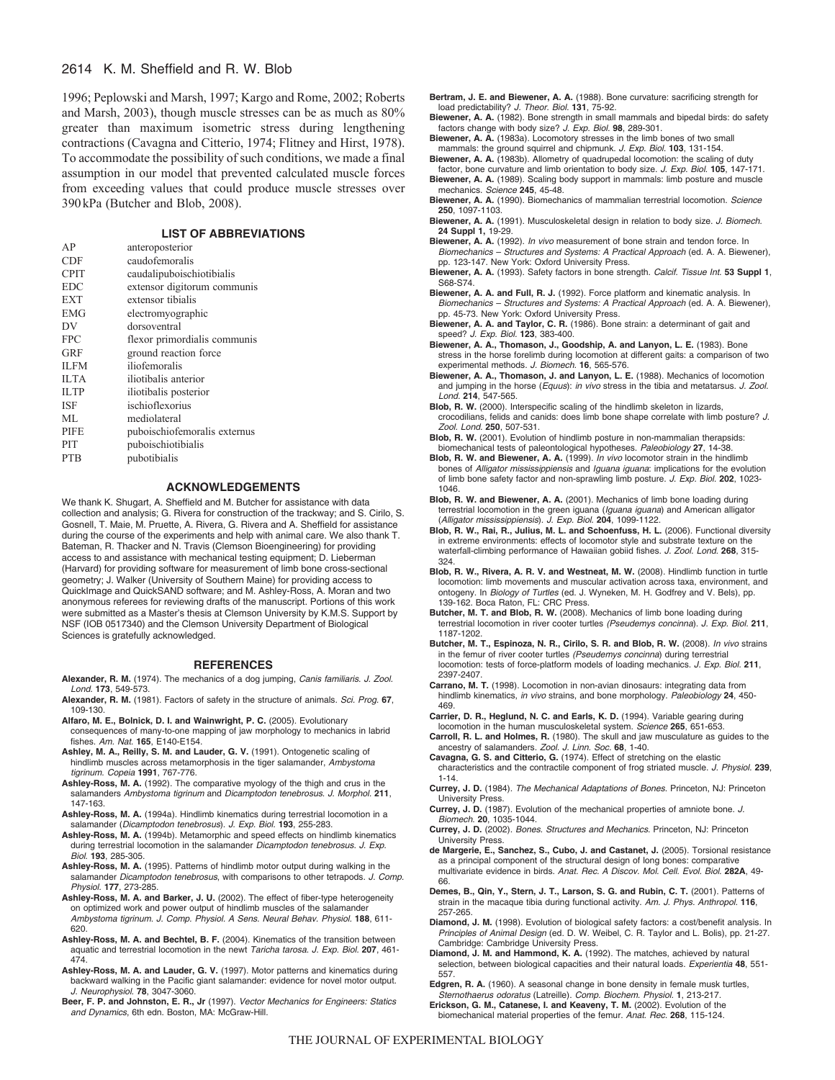## 2614 K. M. Sheffield and R. W. Blob

1996; Peplowski and Marsh, 1997; Kargo and Rome, 2002; Roberts and Marsh, 2003), though muscle stresses can be as much as 80% greater than maximum isometric stress during lengthening contractions (Cavagna and Citterio, 1974; Flitney and Hirst, 1978). To accommodate the possibility of such conditions, we made a final assumption in our model that prevented calculated muscle forces from exceeding values that could produce muscle stresses over 390kPa (Butcher and Blob, 2008).

## **LIST OF ABBREVIATIONS**

| AP          | anteroposterior              |
|-------------|------------------------------|
| <b>CDF</b>  | caudofemoralis               |
| <b>CPIT</b> | caudalipuboischiotibialis    |
| <b>EDC</b>  | extensor digitorum communis  |
| <b>EXT</b>  | extensor tibialis            |
| <b>EMG</b>  | electromyographic            |
| DV          | dorsoventral                 |
| <b>FPC</b>  | flexor primordialis communis |
| <b>GRF</b>  | ground reaction force        |
| <b>ILFM</b> | iliofemoralis                |
| <b>ILTA</b> | iliotibalis anterior         |
| <b>ILTP</b> | iliotibalis posterior        |
| <b>ISF</b>  | ischioflexorius              |
| ML          | mediolateral                 |
| <b>PIFE</b> | puboischiofemoralis externus |
| <b>PIT</b>  | puboischiotibialis           |
| <b>PTB</b>  | pubotibialis                 |

## **ACKNOWLEDGEMENTS**

We thank K. Shugart, A. Sheffield and M. Butcher for assistance with data collection and analysis; G. Rivera for construction of the trackway; and S. Cirilo, S. Gosnell, T. Maie, M. Pruette, A. Rivera, G. Rivera and A. Sheffield for assistance during the course of the experiments and help with animal care. We also thank T. Bateman, R. Thacker and N. Travis (Clemson Bioengineering) for providing access to and assistance with mechanical testing equipment; D. Lieberman (Harvard) for providing software for measurement of limb bone cross-sectional geometry; J. Walker (University of Southern Maine) for providing access to QuickImage and QuickSAND software; and M. Ashley-Ross, A. Moran and two anonymous referees for reviewing drafts of the manuscript. Portions of this work were submitted as a Master's thesis at Clemson University by K.M.S. Support by NSF (IOB 0517340) and the Clemson University Department of Biological Sciences is gratefully acknowledged.

#### **REFERENCES**

- **Alexander, R. M.** (1974). The mechanics of a dog jumping, Canis familiaris. J. Zool. Lond. **173**, 549-573.
- **Alexander, R. M.** (1981). Factors of safety in the structure of animals. Sci. Prog. **67**, 109-130.
- **Alfaro, M. E., Bolnick, D. I. and Wainwright, P. C.** (2005). Evolutionary consequences of many-to-one mapping of jaw morphology to mechanics in labrid fishes. Am. Nat. **165**, E140-E154.
- **Ashley, M. A., Reilly, S. M. and Lauder, G. V.** (1991). Ontogenetic scaling of hindlimb muscles across metamorphosis in the tiger salamander, Ambystoma tigrinum. Copeia **1991**, 767-776.
- **Ashley-Ross, M. A.** (1992). The comparative myology of the thigh and crus in the salamanders Ambystoma tigrinum and Dicamptodon tenebrosus. J. Morphol. **211**, 147-163.
- **Ashley-Ross, M. A.** (1994a). Hindlimb kinematics during terrestrial locomotion in a salamander (Dicamptodon tenebrosus). J. Exp. Biol. **193**, 255-283.
- **Ashley-Ross, M. A.** (1994b). Metamorphic and speed effects on hindlimb kinematics during terrestrial locomotion in the salamander Dicamptodon tenebrosus. J. Exp. Biol. **193**, 285-305.
- **Ashley-Ross, M. A.** (1995). Patterns of hindlimb motor output during walking in the salamander *Dicamptodon tenebrosus*, with comparisons to other tetrapods. J. Comp. Physiol. **177**, 273-285.
- **Ashley-Ross, M. A. and Barker, J. U.** (2002). The effect of fiber-type heterogeneity on optimized work and power output of hindlimb muscles of the salamander Ambystoma tigrinum. J. Comp. Physiol. A Sens. Neural Behav. Physiol. **188**, 611- 620.
- **Ashley-Ross, M. A. and Bechtel, B. F.** (2004). Kinematics of the transition between aquatic and terrestrial locomotion in the newt Taricha tarosa. J. Exp. Biol. **207**, 461- 474.
- **Ashley-Ross, M. A. and Lauder, G. V.** (1997). Motor patterns and kinematics during backward walking in the Pacific giant salamander: evidence for novel motor output. J. Neurophysiol. **78**, 3047-3060.
- **Beer, F. P. and Johnston, E. R., Jr** (1997). Vector Mechanics for Engineers: Statics and Dynamics, 6th edn. Boston, MA: McGraw-Hill.
- **Bertram, J. E. and Biewener, A. A.** (1988). Bone curvature: sacrificing strength for load predictability? J. Theor. Biol. **131**, 75-92.
- **Biewener, A. A.** (1982). Bone strength in small mammals and bipedal birds: do safety factors change with body size? J. Exp. Biol. **98**, 289-301.
- **Biewener, A. A.** (1983a). Locomotory stresses in the limb bones of two small mammals: the ground squirrel and chipmunk. J. Exp. Biol. **103**, 131-154.
- **Biewener, A. A.** (1983b). Allometry of quadrupedal locomotion: the scaling of duty factor, bone curvature and limb orientation to body size. J. Exp. Biol. **105**, 147-171.
- **Biewener, A. A.** (1989). Scaling body support in mammals: limb posture and muscle mechanics. Science **245**, 45-48.
- Biewener, A. A. (1990). Biomechanics of mammalian terrestrial locomotion. Science **250**, 1097-1103. **Biewener, A. A.** (1991). Musculoskeletal design in relation to body size. J. Biomech.
- **24 Suppl 1,** 19-29.
- **Biewener, A. A.** (1992). In vivo measurement of bone strain and tendon force. In Biomechanics – Structures and Systems: A Practical Approach (ed. A. A. Biewener), pp. 123-147. New York: Oxford University Press.
- **Biewener, A. A.** (1993). Safety factors in bone strength. Calcif. Tissue Int. **53 Suppl 1**, S68-S74.
- **Biewener, A. A. and Full, R. J.** (1992). Force platform and kinematic analysis. In Biomechanics – Structures and Systems: A Practical Approach (ed. A. A. Biewener), pp. 45-73. New York: Oxford University Press.
- **Biewener, A. A. and Taylor, C. R.** (1986). Bone strain: a determinant of gait and speed? J. Exp. Biol. **123**, 383-400.
- **Biewener, A. A., Thomason, J., Goodship, A. and Lanyon, L. E.** (1983). Bone stress in the horse forelimb during locomotion at different gaits: a comparison of two experimental methods. J. Biomech. **16**, 565-576.
- **Biewener, A. A., Thomason, J. and Lanyon, L. E.** (1988). Mechanics of locomotion and jumping in the horse (Equus): in vivo stress in the tibia and metatarsus. J. Zool. Lond. **214**, 547-565.
- **Blob, R. W.** (2000). Interspecific scaling of the hindlimb skeleton in lizards, crocodilians, felids and canids: does limb bone shape correlate with limb posture? J. Zool. Lond. **250**, 507-531.
- **Blob, R. W.** (2001). Evolution of hindlimb posture in non-mammalian therapsids: biomechanical tests of paleontological hypotheses. Paleobiology **27**, 14-38.
- **Blob, R. W. and Biewener, A. A.** (1999). *In vivo* locomotor strain in the hindlimb bones of Alligator mississippiensis and Iguana iguana: implications for the evolution of limb bone safety factor and non-sprawling limb posture. J. Exp. Biol. **202**, 1023- 1046.
- **Blob, R. W. and Biewener, A. A.** (2001). Mechanics of limb bone loading during terrestrial locomotion in the green iguana (Iguana iguana) and American alligator (Alligator mississippiensis). J. Exp. Biol. **204**, 1099-1122.
- **Blob, R. W., Rai, R., Julius, M. L. and Schoenfuss, H. L.** (2006). Functional diversity in extreme environments: effects of locomotor style and substrate texture on the waterfall-climbing performance of Hawaiian gobiid fishes. J. Zool. Lond. **268**, 315- 324.
- **Blob, R. W., Rivera, A. R. V. and Westneat, M. W.** (2008). Hindlimb function in turtle locomotion: limb movements and muscular activation across taxa, environment, and ontogeny. In Biology of Turtles (ed. J. Wyneken, M. H. Godfrey and V. Bels), pp. 139-162. Boca Raton, FL: CRC Press.
- **Butcher, M. T. and Blob, R. W.** (2008). Mechanics of limb bone loading during terrestrial locomotion in river cooter turtles (Pseudemys concinna). J. Exp. Biol. **211**, 1187-1202.
- **Butcher, M. T., Espinoza, N. R., Cirilo, S. R. and Blob, R. W.** (2008). In vivo strains in the femur of river cooter turtles (Pseudemys concinna) during terrestrial locomotion: tests of force-platform models of loading mechanics. J. Exp. Biol. **211**, 2397-2407.

**Carrano, M. T.** (1998). Locomotion in non-avian dinosaurs: integrating data from hindlimb kinematics, in vivo strains, and bone morphology. Paleobiology **24**, 450- 469.

- **Carrier, D. R., Heglund, N. C. and Earls, K. D.** (1994). Variable gearing during locomotion in the human musculoskeletal system. Science **265**, 651-653.
- **Carroll, R. L. and Holmes, R.** (1980). The skull and jaw musculature as guides to the ancestry of salamanders. Zool. J. Linn. Soc. **68**, 1-40.
- **Cavagna, G. S. and Citterio, G.** (1974). Effect of stretching on the elastic characteristics and the contractile component of frog striated muscle. J. Physiol. **239**, 1-14.
- **Currey, J. D.** (1984). The Mechanical Adaptations of Bones. Princeton, NJ: Princeton University Press.
- **Currey, J. D.** (1987). Evolution of the mechanical properties of amniote bone. J. Biomech. **20**, 1035-1044.
- **Currey, J. D.** (2002). Bones. Structures and Mechanics. Princeton, NJ: Princeton University Press.
- **de Margerie, E., Sanchez, S., Cubo, J. and Castanet, J.** (2005). Torsional resistance as a principal component of the structural design of long bones: comparative multivariate evidence in birds. Anat. Rec. A Discov. Mol. Cell. Evol. Biol. **282A**, 49- 66.
- **Demes, B., Qin, Y., Stern, J. T., Larson, S. G. and Rubin, C. T.** (2001). Patterns of strain in the macaque tibia during functional activity. Am. J. Phys. Anthropol. **116**, 257-265.
- **Diamond, J. M.** (1998). Evolution of biological safety factors: a cost/benefit analysis. In Principles of Animal Design (ed. D. W. Weibel, C. R. Taylor and L. Bolis), pp. 21-27. Cambridge: Cambridge University Press.
- **Diamond, J. M. and Hammond, K. A.** (1992). The matches, achieved by natural selection, between biological capacities and their natural loads. Experientia **48**, 551- 557.
- **Edgren, R. A.** (1960). A seasonal change in bone density in female musk turtles, Sternothaerus odoratus (Latreille). Comp. Biochem. Physiol. **1**, 213-217. **Erickson, G. M., Catanese, I. and Keaveny, T. M.** (2002). Evolution of the
- biomechanical material properties of the femur. Anat. Rec. **268**, 115-124.